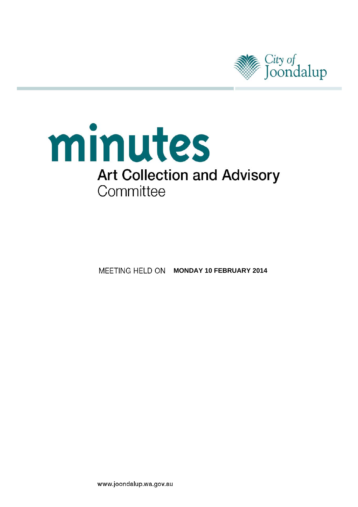

# minutes **Art Collection and Advisory** Committee

**MEETING HELD ON MONDAY 10 FEBRUARY 2014** 

www.joondalup.wa.gov.au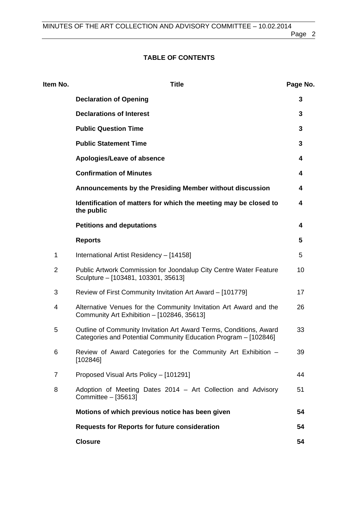# **TABLE OF CONTENTS**

| Item No.       | <b>Title</b>                                                                                                                          | Page No. |
|----------------|---------------------------------------------------------------------------------------------------------------------------------------|----------|
|                | <b>Declaration of Opening</b>                                                                                                         | 3        |
|                | <b>Declarations of Interest</b>                                                                                                       | 3        |
|                | <b>Public Question Time</b>                                                                                                           | 3        |
|                | <b>Public Statement Time</b>                                                                                                          | 3        |
|                | Apologies/Leave of absence                                                                                                            | 4        |
|                | <b>Confirmation of Minutes</b>                                                                                                        | 4        |
|                | Announcements by the Presiding Member without discussion                                                                              | 4        |
|                | Identification of matters for which the meeting may be closed to<br>the public                                                        | 4        |
|                | <b>Petitions and deputations</b>                                                                                                      | 4        |
|                | <b>Reports</b>                                                                                                                        | 5        |
| 1              | International Artist Residency - [14158]                                                                                              | 5        |
| $\overline{2}$ | Public Artwork Commission for Joondalup City Centre Water Feature<br>Sculpture - [103481, 103301, 35613]                              | 10       |
| 3              | Review of First Community Invitation Art Award - [101779]                                                                             | 17       |
| 4              | Alternative Venues for the Community Invitation Art Award and the<br>Community Art Exhibition - [102846, 35613]                       | 26       |
| 5              | Outline of Community Invitation Art Award Terms, Conditions, Award<br>Categories and Potential Community Education Program - [102846] | 33       |
| 6              | Review of Award Categories for the Community Art Exhibition -<br>[102846]                                                             | 39       |
| $\overline{7}$ | Proposed Visual Arts Policy - [101291]                                                                                                | 44       |
| 8              | Adoption of Meeting Dates 2014 - Art Collection and Advisory<br>Committee - [35613]                                                   | 51       |
|                | Motions of which previous notice has been given                                                                                       | 54       |
|                | <b>Requests for Reports for future consideration</b>                                                                                  | 54       |
|                | <b>Closure</b>                                                                                                                        | 54       |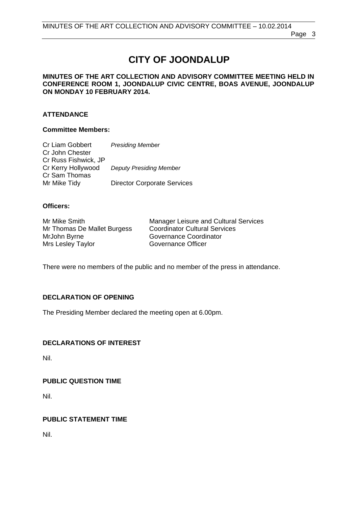# **CITY OF JOONDALUP**

#### <span id="page-2-0"></span>**MINUTES OF THE ART COLLECTION AND ADVISORY COMMITTEE MEETING HELD IN CONFERENCE ROOM 1, JOONDALUP CIVIC CENTRE, BOAS AVENUE, JOONDALUP ON MONDAY 10 FEBRUARY 2014.**

#### **ATTENDANCE**

#### **Committee Members:**

| Cr Liam Gobbert      | <b>Presiding Member</b>            |
|----------------------|------------------------------------|
| Cr John Chester      |                                    |
| Cr Russ Fishwick, JP |                                    |
| Cr Kerry Hollywood   | <b>Deputy Presiding Member</b>     |
| Cr Sam Thomas        |                                    |
| Mr Mike Tidy         | <b>Director Corporate Services</b> |

#### **Officers:**

| Mr Mike Smith               | <b>Manager Leisure and Cultural Services</b> |
|-----------------------------|----------------------------------------------|
| Mr Thomas De Mallet Burgess | <b>Coordinator Cultural Services</b>         |
| MrJohn Byrne                | Governance Coordinator                       |
| Mrs Lesley Taylor           | Governance Officer                           |

There were no members of the public and no member of the press in attendance.

#### **DECLARATION OF OPENING**

The Presiding Member declared the meeting open at 6.00pm.

#### **DECLARATIONS OF INTEREST**

Nil.

#### **PUBLIC QUESTION TIME**

Nil.

#### **PUBLIC STATEMENT TIME**

Nil.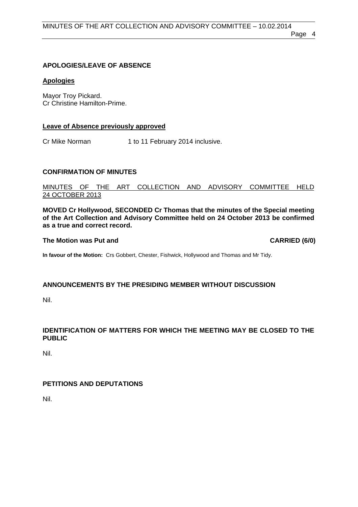#### <span id="page-3-0"></span>**APOLOGIES/LEAVE OF ABSENCE**

#### **Apologies**

Mayor Troy Pickard. Cr Christine Hamilton-Prime.

#### **Leave of Absence previously approved**

Cr Mike Norman 1 to 11 February 2014 inclusive.

#### **CONFIRMATION OF MINUTES**

#### MINUTES OF THE ART COLLECTION AND ADVISORY COMMITTEE HELD 24 OCTOBER 2013

**MOVED Cr Hollywood, SECONDED Cr Thomas that the minutes of the Special meeting of the Art Collection and Advisory Committee held on 24 October 2013 be confirmed as a true and correct record.** 

#### The Motion was Put and **CARRIED** (6/0)

**In favour of the Motion:** Crs Gobbert, Chester, Fishwick, Hollywood and Thomas and Mr Tidy.

#### **ANNOUNCEMENTS BY THE PRESIDING MEMBER WITHOUT DISCUSSION**

Nil.

#### **IDENTIFICATION OF MATTERS FOR WHICH THE MEETING MAY BE CLOSED TO THE PUBLIC**

Nil.

#### **PETITIONS AND DEPUTATIONS**

Nil.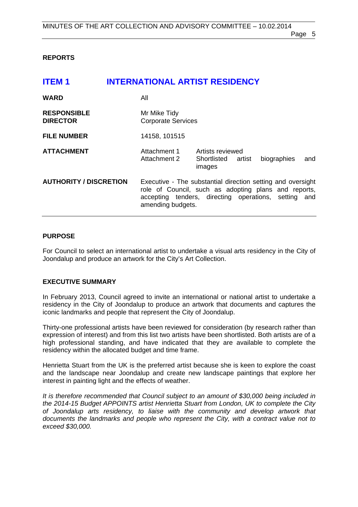#### <span id="page-4-0"></span>**REPORTS**

| <b>ITEM1</b>                          |     | <b>INTERNATIONAL ARTIST RESIDENCY</b>                                                                                                                                                            |                                           |        |             |     |
|---------------------------------------|-----|--------------------------------------------------------------------------------------------------------------------------------------------------------------------------------------------------|-------------------------------------------|--------|-------------|-----|
| <b>WARD</b>                           | All |                                                                                                                                                                                                  |                                           |        |             |     |
| <b>RESPONSIBLE</b><br><b>DIRECTOR</b> |     | Mr Mike Tidy<br><b>Corporate Services</b>                                                                                                                                                        |                                           |        |             |     |
| <b>FILE NUMBER</b>                    |     | 14158, 101515                                                                                                                                                                                    |                                           |        |             |     |
| <b>ATTACHMENT</b>                     |     | Attachment 1<br>Attachment 2                                                                                                                                                                     | Artists reviewed<br>Shortlisted<br>images | artist | biographies | and |
| <b>AUTHORITY / DISCRETION</b>         |     | Executive - The substantial direction setting and oversight<br>role of Council, such as adopting plans and reports,<br>accepting tenders, directing operations, setting and<br>amending budgets. |                                           |        |             |     |

#### **PURPOSE**

For Council to select an international artist to undertake a visual arts residency in the City of Joondalup and produce an artwork for the City's Art Collection.

#### **EXECUTIVE SUMMARY**

In February 2013, Council agreed to invite an international or national artist to undertake a residency in the City of Joondalup to produce an artwork that documents and captures the iconic landmarks and people that represent the City of Joondalup.

Thirty-one professional artists have been reviewed for consideration (by research rather than expression of interest) and from this list two artists have been shortlisted. Both artists are of a high professional standing, and have indicated that they are available to complete the residency within the allocated budget and time frame.

Henrietta Stuart from the UK is the preferred artist because she is keen to explore the coast and the landscape near Joondalup and create new landscape paintings that explore her interest in painting light and the effects of weather.

*It is therefore recommended that Council subject to an amount of \$30,000 being included in the 2014-15 Budget APPOINTS artist Henrietta Stuart from London, UK to complete the City of Joondalup arts residency, to liaise with the community and develop artwork that documents the landmarks and people who represent the City, with a contract value not to exceed \$30,000.*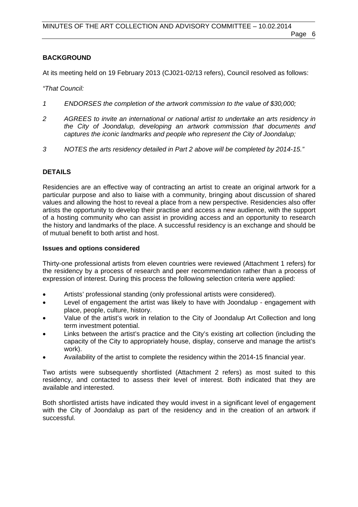#### **BACKGROUND**

At its meeting held on 19 February 2013 (CJ021-02/13 refers), Council resolved as follows:

*"That Council:* 

- *1 ENDORSES the completion of the artwork commission to the value of \$30,000;*
- *2 AGREES to invite an international or national artist to undertake an arts residency in the City of Joondalup, developing an artwork commission that documents and captures the iconic landmarks and people who represent the City of Joondalup;*
- *3 NOTES the arts residency detailed in Part 2 above will be completed by 2014-15."*

## **DETAILS**

Residencies are an effective way of contracting an artist to create an original artwork for a particular purpose and also to liaise with a community, bringing about discussion of shared values and allowing the host to reveal a place from a new perspective. Residencies also offer artists the opportunity to develop their practise and access a new audience, with the support of a hosting community who can assist in providing access and an opportunity to research the history and landmarks of the place. A successful residency is an exchange and should be of mutual benefit to both artist and host.

#### **Issues and options considered**

Thirty-one professional artists from eleven countries were reviewed (Attachment 1 refers) for the residency by a process of research and peer recommendation rather than a process of expression of interest. During this process the following selection criteria were applied:

- Artists' professional standing (only professional artists were considered).
- Level of engagement the artist was likely to have with Joondalup engagement with place, people, culture, history.
- Value of the artist's work in relation to the City of Joondalup Art Collection and long term investment potential.
- Links between the artist's practice and the City's existing art collection (including the capacity of the City to appropriately house, display, conserve and manage the artist's work).
- Availability of the artist to complete the residency within the 2014-15 financial year.

Two artists were subsequently shortlisted (Attachment 2 refers) as most suited to this residency, and contacted to assess their level of interest. Both indicated that they are available and interested.

Both shortlisted artists have indicated they would invest in a significant level of engagement with the City of Joondalup as part of the residency and in the creation of an artwork if successful.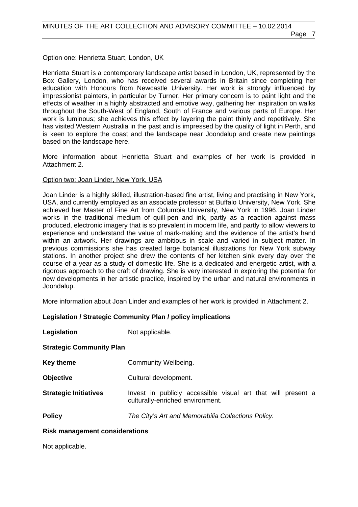# Option one: Henrietta Stuart, London, UK

Henrietta Stuart is a contemporary landscape artist based in London, UK, represented by the Box Gallery, London, who has received several awards in Britain since completing her education with Honours from Newcastle University. Her work is strongly influenced by impressionist painters, in particular by Turner. Her primary concern is to paint light and the effects of weather in a highly abstracted and emotive way, gathering her inspiration on walks throughout the South-West of England, South of France and various parts of Europe. Her work is luminous; she achieves this effect by layering the paint thinly and repetitively. She has visited Western Australia in the past and is impressed by the quality of light in Perth, and is keen to explore the coast and the landscape near Joondalup and create new paintings based on the landscape here.

More information about Henrietta Stuart and examples of her work is provided in Attachment 2.

# Option two: Joan Linder, New York, USA

Joan Linder is a highly skilled, illustration-based fine artist, living and practising in New York, USA, and currently employed as an associate professor at Buffalo University, New York. She achieved her Master of Fine Art from Columbia University, New York in 1996. Joan Linder works in the traditional medium of quill-pen and ink, partly as a reaction against mass produced, electronic imagery that is so prevalent in modern life, and partly to allow viewers to experience and understand the value of mark-making and the evidence of the artist's hand within an artwork. Her drawings are ambitious in scale and varied in subject matter. In previous commissions she has created large botanical illustrations for New York subway stations. In another project she drew the contents of her kitchen sink every day over the course of a year as a study of domestic life. She is a dedicated and energetic artist, with a rigorous approach to the craft of drawing. She is very interested in exploring the potential for new developments in her artistic practice, inspired by the urban and natural environments in Joondalup.

More information about Joan Linder and examples of her work is provided in Attachment 2.

# **Legislation / Strategic Community Plan / policy implications**

**Legislation** Not applicable.

**Strategic Community Plan** 

- **Key theme Community Wellbeing.**
- **Objective** Cultural development.
- **Strategic Initiatives** Invest in publicly accessible visual art that will present a culturally-enriched environment.

**Policy** *The City's Art and Memorabilia Collections Policy.*

# **Risk management considerations**

Not applicable.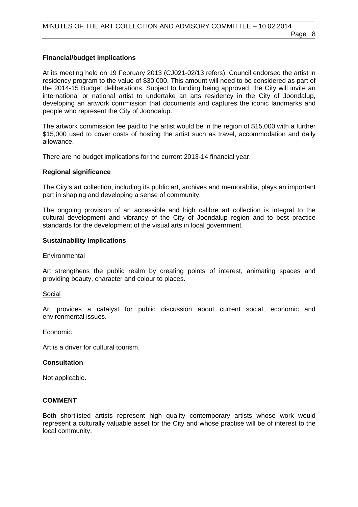#### **Financial/budget implications**

At its meeting held on 19 February 2013 (CJ021-02/13 refers), Council endorsed the artist in residency program to the value of \$30,000. This amount will need to be considered as part of the 2014-15 Budget deliberations. Subject to funding being approved, the City will invite an international or national artist to undertake an arts residency in the City of Joondalup, developing an artwork commission that documents and captures the iconic landmarks and people who represent the City of Joondalup.

The artwork commission fee paid to the artist would be in the region of \$15,000 with a further \$15,000 used to cover costs of hosting the artist such as travel, accommodation and daily allowance.

There are no budget implications for the current 2013-14 financial year.

#### **Regional significance**

The City's art collection, including its public art, archives and memorabilia, plays an important part in shaping and developing a sense of community.

The ongoing provision of an accessible and high calibre art collection is integral to the cultural development and vibrancy of the City of Joondalup region and to best practice standards for the development of the visual arts in local government.

#### **Sustainability implications**

#### **Environmental**

Art strengthens the public realm by creating points of interest, animating spaces and providing beauty, character and colour to places.

#### Social

Art provides a catalyst for public discussion about current social, economic and environmental issues.

#### Economic

Art is a driver for cultural tourism.

#### **Consultation**

Not applicable.

#### **COMMENT**

Both shortlisted artists represent high quality contemporary artists whose work would represent a culturally valuable asset for the City and whose practise will be of interest to the local community.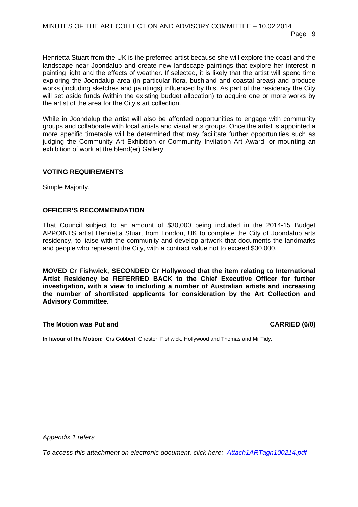Henrietta Stuart from the UK is the preferred artist because she will explore the coast and the landscape near Joondalup and create new landscape paintings that explore her interest in painting light and the effects of weather. If selected, it is likely that the artist will spend time exploring the Joondalup area (in particular flora, bushland and coastal areas) and produce works (including sketches and paintings) influenced by this. As part of the residency the City will set aside funds (within the existing budget allocation) to acquire one or more works by the artist of the area for the City's art collection.

While in Joondalup the artist will also be afforded opportunities to engage with community groups and collaborate with local artists and visual arts groups. Once the artist is appointed a more specific timetable will be determined that may facilitate further opportunities such as judging the Community Art Exhibition or Community Invitation Art Award, or mounting an exhibition of work at the blend(er) Gallery.

#### **VOTING REQUIREMENTS**

Simple Majority.

#### **OFFICER'S RECOMMENDATION**

That Council subject to an amount of \$30,000 being included in the 2014-15 Budget APPOINTS artist Henrietta Stuart from London, UK to complete the City of Joondalup arts residency, to liaise with the community and develop artwork that documents the landmarks and people who represent the City, with a contract value not to exceed \$30,000.

**MOVED Cr Fishwick, SECONDED Cr Hollywood that the item relating to International Artist Residency be REFERRED BACK to the Chief Executive Officer for further investigation, with a view to including a number of Australian artists and increasing the number of shortlisted applicants for consideration by the Art Collection and Advisory Committee.** 

#### **The Motion was Put and CARRIED (6/0)**

**In favour of the Motion:** Crs Gobbert, Chester, Fishwick, Hollywood and Thomas and Mr Tidy.

*Appendix 1 refers* 

*[To access this attachment on electronic document, click here: Attach1ARTagn100214.pdf](http://www.joondalup.wa.gov.au/files/committees/ACAC/2014/Attach1ARTagn100214.pdf)*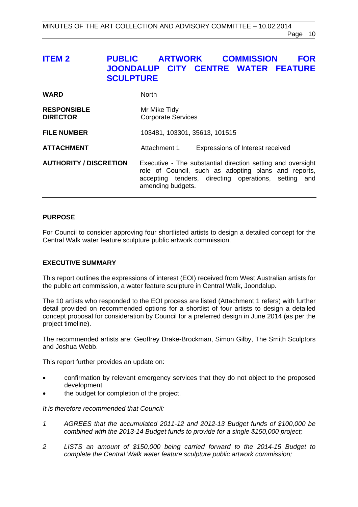# <span id="page-9-0"></span>**ITEM 2 PUBLIC ARTWORK COMMISSION FOR JOONDALUP CITY CENTRE WATER FEATURE SCULPTURE**

| <b>WARD</b>                           | <b>North</b>                                                                                                                                                                                     |
|---------------------------------------|--------------------------------------------------------------------------------------------------------------------------------------------------------------------------------------------------|
| <b>RESPONSIBLE</b><br><b>DIRECTOR</b> | Mr Mike Tidy<br><b>Corporate Services</b>                                                                                                                                                        |
| <b>FILE NUMBER</b>                    | 103481, 103301, 35613, 101515                                                                                                                                                                    |
| <b>ATTACHMENT</b>                     | Expressions of Interest received<br>Attachment 1                                                                                                                                                 |
| <b>AUTHORITY / DISCRETION</b>         | Executive - The substantial direction setting and oversight<br>role of Council, such as adopting plans and reports,<br>accepting tenders, directing operations, setting and<br>amending budgets. |

#### **PURPOSE**

For Council to consider approving four shortlisted artists to design a detailed concept for the Central Walk water feature sculpture public artwork commission.

#### **EXECUTIVE SUMMARY**

This report outlines the expressions of interest (EOI) received from West Australian artists for the public art commission, a water feature sculpture in Central Walk, Joondalup.

The 10 artists who responded to the EOI process are listed (Attachment 1 refers) with further detail provided on recommended options for a shortlist of four artists to design a detailed concept proposal for consideration by Council for a preferred design in June 2014 (as per the project timeline).

The recommended artists are: Geoffrey Drake-Brockman, Simon Gilby, The Smith Sculptors and Joshua Webb.

This report further provides an update on:

- confirmation by relevant emergency services that they do not object to the proposed development
- the budget for completion of the project.

*It is therefore recommended that Council:* 

- *1 AGREES that the accumulated 2011-12 and 2012-13 Budget funds of \$100,000 be combined with the 2013-14 Budget funds to provide for a single \$150,000 project;*
- *2 LISTS an amount of \$150,000 being carried forward to the 2014-15 Budget to complete the Central Walk water feature sculpture public artwork commission;*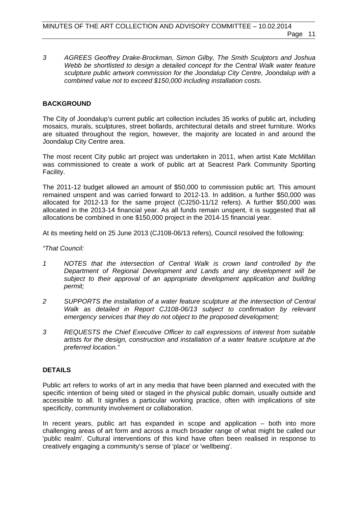*3 AGREES Geoffrey Drake-Brockman, Simon Gilby, The Smith Sculptors and Joshua Webb be shortlisted to design a detailed concept for the Central Walk water feature sculpture public artwork commission for the Joondalup City Centre, Joondalup with a combined value not to exceed \$150,000 including installation costs.* 

#### **BACKGROUND**

The City of Joondalup's current public art collection includes 35 works of public art, including mosaics, murals, sculptures, street bollards, architectural details and street furniture. Works are situated throughout the region, however, the majority are located in and around the Joondalup City Centre area.

The most recent City public art project was undertaken in 2011, when artist Kate McMillan was commissioned to create a work of public art at Seacrest Park Community Sporting Facility.

The 2011-12 budget allowed an amount of \$50,000 to commission public art. This amount remained unspent and was carried forward to 2012-13. In addition, a further \$50,000 was allocated for 2012-13 for the same project (CJ250-11/12 refers). A further \$50,000 was allocated in the 2013-14 financial year. As all funds remain unspent, it is suggested that all allocations be combined in one \$150,000 project in the 2014-15 financial year.

At its meeting held on 25 June 2013 (CJ108-06/13 refers), Council resolved the following:

*"That Council:* 

- *1 NOTES that the intersection of Central Walk is crown land controlled by the Department of Regional Development and Lands and any development will be subject to their approval of an appropriate development application and building permit;*
- *2 SUPPORTS the installation of a water feature sculpture at the intersection of Central Walk as detailed in Report CJ108-06/13 subject to confirmation by relevant emergency services that they do not object to the proposed development;*
- *3 REQUESTS the Chief Executive Officer to call expressions of interest from suitable artists for the design, construction and installation of a water feature sculpture at the preferred location."*

#### **DETAILS**

Public art refers to works of art in any media that have been planned and executed with the specific intention of being sited or staged in the physical public domain, usually outside and accessible to all. It signifies a particular working practice, often with implications of site specificity, community involvement or collaboration.

In recent years, public art has expanded in scope and application – both into more challenging areas of art form and across a much broader range of what might be called our 'public realm'. Cultural interventions of this kind have often been realised in response to creatively engaging a community's sense of 'place' or 'wellbeing'.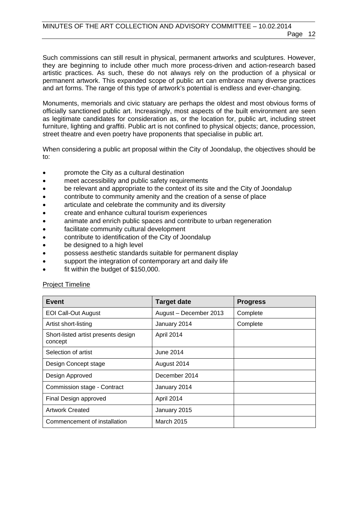Such commissions can still result in physical, permanent artworks and sculptures. However, they are beginning to include other much more process-driven and action-research based artistic practices. As such, these do not always rely on the production of a physical or permanent artwork. This expanded scope of public art can embrace many diverse practices and art forms. The range of this type of artwork's potential is endless and ever-changing.

Monuments, memorials and civic statuary are perhaps the oldest and most obvious forms of officially sanctioned public art. Increasingly, most aspects of the built environment are seen as legitimate candidates for consideration as, or the location for, public art, including street furniture, lighting and graffiti. Public art is not confined to physical objects; dance, procession, street theatre and even poetry have proponents that specialise in public art.

When considering a public art proposal within the City of Joondalup, the objectives should be to:

- promote the City as a cultural destination
- meet accessibility and public safety requirements
- be relevant and appropriate to the context of its site and the City of Joondalup
- contribute to community amenity and the creation of a sense of place
- articulate and celebrate the community and its diversity
- create and enhance cultural tourism experiences
- animate and enrich public spaces and contribute to urban regeneration
- facilitate community cultural development
- contribute to identification of the City of Joondalup
- be designed to a high level
- possess aesthetic standards suitable for permanent display
- support the integration of contemporary art and daily life
- fit within the budget of \$150,000.

#### Project Timeline

| <b>Event</b>                                   | <b>Target date</b>     | <b>Progress</b> |
|------------------------------------------------|------------------------|-----------------|
| <b>EOI Call-Out August</b>                     | August - December 2013 | Complete        |
| Artist short-listing                           | January 2014           | Complete        |
| Short-listed artist presents design<br>concept | April 2014             |                 |
| Selection of artist                            | June 2014              |                 |
| Design Concept stage                           | August 2014            |                 |
| Design Approved                                | December 2014          |                 |
| Commission stage - Contract                    | January 2014           |                 |
| Final Design approved                          | April 2014             |                 |
| <b>Artwork Created</b>                         | January 2015           |                 |
| Commencement of installation                   | <b>March 2015</b>      |                 |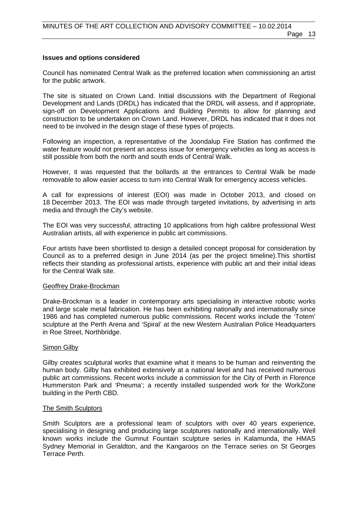# **Issues and options considered**

Council has nominated Central Walk as the preferred location when commissioning an artist for the public artwork.

The site is situated on Crown Land. Initial discussions with the Department of Regional Development and Lands (DRDL) has indicated that the DRDL will assess, and if appropriate, sign-off on Development Applications and Building Permits to allow for planning and construction to be undertaken on Crown Land. However, DRDL has indicated that it does not need to be involved in the design stage of these types of projects.

Following an inspection, a representative of the Joondalup Fire Station has confirmed the water feature would not present an access issue for emergency vehicles as long as access is still possible from both the north and south ends of Central Walk.

However, it was requested that the bollards at the entrances to Central Walk be made removable to allow easier access to turn into Central Walk for emergency access vehicles.

A call for expressions of interest (EOI) was made in October 2013, and closed on 18 December 2013. The EOI was made through targeted invitations, by advertising in arts media and through the City's website.

The EOI was very successful, attracting 10 applications from high calibre professional West Australian artists, all with experience in public art commissions.

Four artists have been shortlisted to design a detailed concept proposal for consideration by Council as to a preferred design in June 2014 (as per the project timeline).This shortlist reflects their standing as professional artists, experience with public art and their initial ideas for the Central Walk site.

## Geoffrey Drake-Brockman

Drake-Brockman is a leader in contemporary arts specialising in interactive robotic works and large scale metal fabrication. He has been exhibiting nationally and internationally since 1986 and has completed numerous public commissions. Recent works include the 'Totem' sculpture at the Perth Arena and 'Spiral' at the new Western Australian Police Headquarters in Roe Street, Northbridge.

# Simon Gilby

Gilby creates sculptural works that examine what it means to be human and reinventing the human body. Gilby has exhibited extensively at a national level and has received numerous public art commissions. Recent works include a commission for the City of Perth in Florence Hummerston Park and 'Pneuma'; a recently installed suspended work for the WorkZone building in the Perth CBD.

# The Smith Sculptors

Smith Sculptors are a professional team of sculptors with over 40 years experience, specialising in designing and producing large sculptures nationally and internationally. Well known works include the Gumnut Fountain sculpture series in Kalamunda, the HMAS Sydney Memorial in Geraldton, and the Kangaroos on the Terrace series on St Georges Terrace Perth.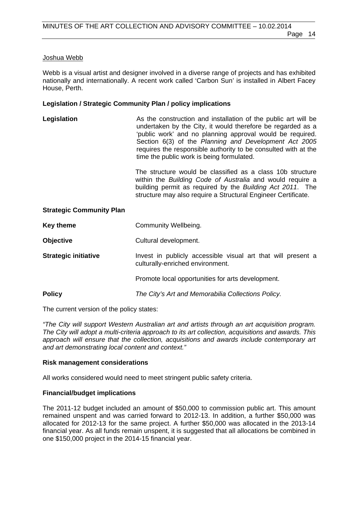#### Joshua Webb

Webb is a visual artist and designer involved in a diverse range of projects and has exhibited nationally and internationally. A recent work called 'Carbon Sun' is installed in Albert Facey House, Perth.

#### **Legislation / Strategic Community Plan / policy implications**

| Legislation                     | As the construction and installation of the public art will be<br>undertaken by the City, it would therefore be regarded as a<br>'public work' and no planning approval would be required.<br>Section 6(3) of the Planning and Development Act 2005<br>requires the responsible authority to be consulted with at the<br>time the public work is being formulated.<br>The structure would be classified as a class 10b structure<br>within the Building Code of Australia and would require a<br>building permit as required by the Building Act 2011. The<br>structure may also require a Structural Engineer Certificate. |
|---------------------------------|-----------------------------------------------------------------------------------------------------------------------------------------------------------------------------------------------------------------------------------------------------------------------------------------------------------------------------------------------------------------------------------------------------------------------------------------------------------------------------------------------------------------------------------------------------------------------------------------------------------------------------|
| <b>Strategic Community Plan</b> |                                                                                                                                                                                                                                                                                                                                                                                                                                                                                                                                                                                                                             |
| <b>Key theme</b>                | Community Wellbeing.                                                                                                                                                                                                                                                                                                                                                                                                                                                                                                                                                                                                        |
| <b>Objective</b>                | Cultural development.                                                                                                                                                                                                                                                                                                                                                                                                                                                                                                                                                                                                       |
| <b>Strategic initiative</b>     | Invest in publicly accessible visual art that will present a<br>culturally-enriched environment.                                                                                                                                                                                                                                                                                                                                                                                                                                                                                                                            |
|                                 | Promote local opportunities for arts development.                                                                                                                                                                                                                                                                                                                                                                                                                                                                                                                                                                           |
| <b>Policy</b>                   | The City's Art and Memorabilia Collections Policy.                                                                                                                                                                                                                                                                                                                                                                                                                                                                                                                                                                          |

The current version of the policy states:

*"The City will support Western Australian art and artists through an art acquisition program. The City will adopt a multi-criteria approach to its art collection, acquisitions and awards. This approach will ensure that the collection, acquisitions and awards include contemporary art and art demonstrating local content and context."* 

#### **Risk management considerations**

All works considered would need to meet stringent public safety criteria.

#### **Financial/budget implications**

The 2011-12 budget included an amount of \$50,000 to commission public art. This amount remained unspent and was carried forward to 2012-13. In addition, a further \$50,000 was allocated for 2012-13 for the same project. A further \$50,000 was allocated in the 2013-14 financial year. As all funds remain unspent, it is suggested that all allocations be combined in one \$150,000 project in the 2014-15 financial year.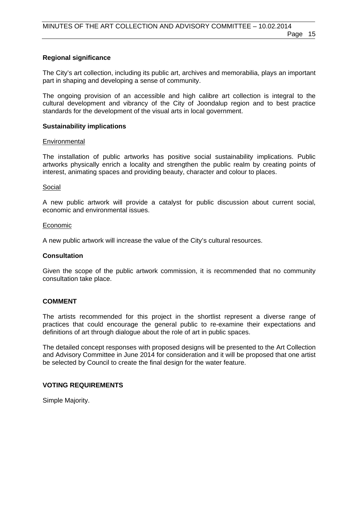#### **Regional significance**

The City's art collection, including its public art, archives and memorabilia, plays an important part in shaping and developing a sense of community.

The ongoing provision of an accessible and high calibre art collection is integral to the cultural development and vibrancy of the City of Joondalup region and to best practice standards for the development of the visual arts in local government.

#### **Sustainability implications**

#### **Environmental**

The installation of public artworks has positive social sustainability implications. Public artworks physically enrich a locality and strengthen the public realm by creating points of interest, animating spaces and providing beauty, character and colour to places.

#### Social

A new public artwork will provide a catalyst for public discussion about current social, economic and environmental issues.

#### Economic

A new public artwork will increase the value of the City's cultural resources.

#### **Consultation**

Given the scope of the public artwork commission, it is recommended that no community consultation take place.

#### **COMMENT**

The artists recommended for this project in the shortlist represent a diverse range of practices that could encourage the general public to re-examine their expectations and definitions of art through dialogue about the role of art in public spaces.

The detailed concept responses with proposed designs will be presented to the Art Collection and Advisory Committee in June 2014 for consideration and it will be proposed that one artist be selected by Council to create the final design for the water feature.

#### **VOTING REQUIREMENTS**

Simple Majority.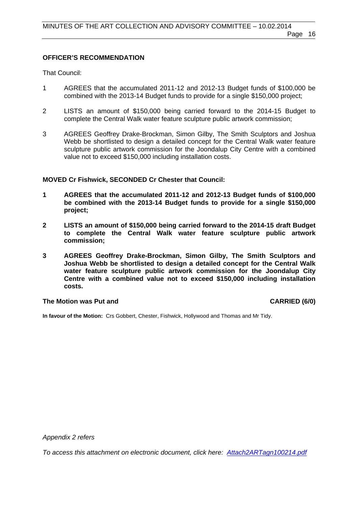#### **OFFICER'S RECOMMENDATION**

That Council:

- 1 AGREES that the accumulated 2011-12 and 2012-13 Budget funds of \$100,000 be combined with the 2013-14 Budget funds to provide for a single \$150,000 project;
- 2 LISTS an amount of \$150,000 being carried forward to the 2014-15 Budget to complete the Central Walk water feature sculpture public artwork commission;
- 3 AGREES Geoffrey Drake-Brockman, Simon Gilby, The Smith Sculptors and Joshua Webb be shortlisted to design a detailed concept for the Central Walk water feature sculpture public artwork commission for the Joondalup City Centre with a combined value not to exceed \$150,000 including installation costs.

#### **MOVED Cr Fishwick, SECONDED Cr Chester that Council:**

- **1 AGREES that the accumulated 2011-12 and 2012-13 Budget funds of \$100,000 be combined with the 2013-14 Budget funds to provide for a single \$150,000 project;**
- **2 LISTS an amount of \$150,000 being carried forward to the 2014-15 draft Budget to complete the Central Walk water feature sculpture public artwork commission;**
- **3 AGREES Geoffrey Drake-Brockman, Simon Gilby, The Smith Sculptors and Joshua Webb be shortlisted to design a detailed concept for the Central Walk water feature sculpture public artwork commission for the Joondalup City Centre with a combined value not to exceed \$150,000 including installation costs.**

#### The Motion was Put and **CARRIED** (6/0)

**In favour of the Motion:** Crs Gobbert, Chester, Fishwick, Hollywood and Thomas and Mr Tidy.

*Appendix 2 refers* 

*[To access this attachment on electronic document, click here: Attach2ARTagn100214.pdf](http://www.joondalup.wa.gov.au/files/committees/ACAC/2014/Attach2ARTagn100214.pdf)*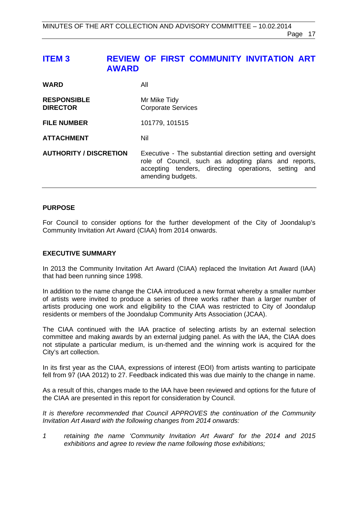# <span id="page-16-0"></span>**ITEM 3 REVIEW OF FIRST COMMUNITY INVITATION ART AWARD**

| <b>WARD</b>                           | All                                                                                                                                                                                              |
|---------------------------------------|--------------------------------------------------------------------------------------------------------------------------------------------------------------------------------------------------|
| <b>RESPONSIBLE</b><br><b>DIRECTOR</b> | Mr Mike Tidy<br><b>Corporate Services</b>                                                                                                                                                        |
| <b>FILE NUMBER</b>                    | 101779, 101515                                                                                                                                                                                   |
| <b>ATTACHMENT</b>                     | Nil                                                                                                                                                                                              |
| <b>AUTHORITY / DISCRETION</b>         | Executive - The substantial direction setting and oversight<br>role of Council, such as adopting plans and reports,<br>accepting tenders, directing operations, setting and<br>amending budgets. |

#### **PURPOSE**

For Council to consider options for the further development of the City of Joondalup's Community Invitation Art Award (CIAA) from 2014 onwards.

#### **EXECUTIVE SUMMARY**

In 2013 the Community Invitation Art Award (CIAA) replaced the Invitation Art Award (IAA) that had been running since 1998.

In addition to the name change the CIAA introduced a new format whereby a smaller number of artists were invited to produce a series of three works rather than a larger number of artists producing one work and eligibility to the CIAA was restricted to City of Joondalup residents or members of the Joondalup Community Arts Association (JCAA).

The CIAA continued with the IAA practice of selecting artists by an external selection committee and making awards by an external judging panel. As with the IAA, the CIAA does not stipulate a particular medium, is un-themed and the winning work is acquired for the City's art collection.

In its first year as the CIAA, expressions of interest (EOI) from artists wanting to participate fell from 97 (IAA 2012) to 27. Feedback indicated this was due mainly to the change in name.

As a result of this, changes made to the IAA have been reviewed and options for the future of the CIAA are presented in this report for consideration by Council.

*It is therefore recommended that Council APPROVES the continuation of the Community Invitation Art Award with the following changes from 2014 onwards:* 

*1 retaining the name 'Community Invitation Art Award' for the 2014 and 2015 exhibitions and agree to review the name following those exhibitions;*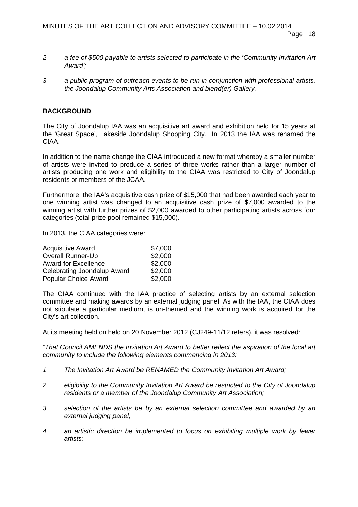- *2 a fee of \$500 payable to artists selected to participate in the 'Community Invitation Art Award';*
- *3 a public program of outreach events to be run in conjunction with professional artists, the Joondalup Community Arts Association and blend(er) Gallery.*

#### **BACKGROUND**

The City of Joondalup IAA was an acquisitive art award and exhibition held for 15 years at the 'Great Space', Lakeside Joondalup Shopping City. In 2013 the IAA was renamed the CIAA.

In addition to the name change the CIAA introduced a new format whereby a smaller number of artists were invited to produce a series of three works rather than a larger number of artists producing one work and eligibility to the CIAA was restricted to City of Joondalup residents or members of the JCAA.

Furthermore, the IAA's acquisitive cash prize of \$15,000 that had been awarded each year to one winning artist was changed to an acquisitive cash prize of \$7,000 awarded to the winning artist with further prizes of \$2,000 awarded to other participating artists across four categories (total prize pool remained \$15,000).

In 2013, the CIAA categories were:

| <b>Acquisitive Award</b>    | \$7,000 |
|-----------------------------|---------|
| <b>Overall Runner-Up</b>    | \$2,000 |
| <b>Award for Excellence</b> | \$2,000 |
| Celebrating Joondalup Award | \$2,000 |
| <b>Popular Choice Award</b> | \$2,000 |

The CIAA continued with the IAA practice of selecting artists by an external selection committee and making awards by an external judging panel. As with the IAA, the CIAA does not stipulate a particular medium, is un-themed and the winning work is acquired for the City's art collection.

At its meeting held on held on 20 November 2012 (CJ249-11/12 refers), it was resolved:

*"That Council AMENDS the Invitation Art Award to better reflect the aspiration of the local art community to include the following elements commencing in 2013:* 

- *1 The Invitation Art Award be RENAMED the Community Invitation Art Award;*
- *2 eligibility to the Community Invitation Art Award be restricted to the City of Joondalup residents or a member of the Joondalup Community Art Association;*
- *3 selection of the artists be by an external selection committee and awarded by an external judging panel;*
- *4 an artistic direction be implemented to focus on exhibiting multiple work by fewer artists;*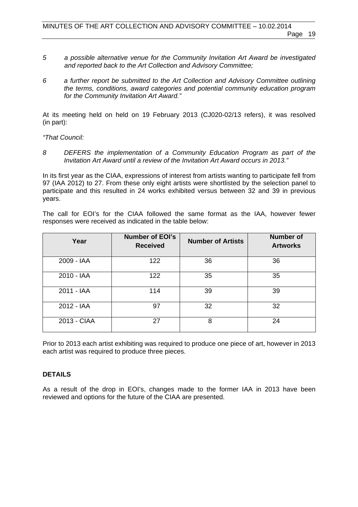- *5 a possible alternative venue for the Community Invitation Art Award be investigated and reported back to the Art Collection and Advisory Committee;*
- *6 a further report be submitted to the Art Collection and Advisory Committee outlining the terms, conditions, award categories and potential community education program for the Community Invitation Art Award."*

At its meeting held on held on 19 February 2013 (CJ020-02/13 refers), it was resolved (in part):

*"That Council:* 

*8 DEFERS the implementation of a Community Education Program as part of the Invitation Art Award until a review of the Invitation Art Award occurs in 2013."* 

In its first year as the CIAA, expressions of interest from artists wanting to participate fell from 97 (IAA 2012) to 27. From these only eight artists were shortlisted by the selection panel to participate and this resulted in 24 works exhibited versus between 32 and 39 in previous years.

The call for EOI's for the CIAA followed the same format as the IAA, however fewer responses were received as indicated in the table below:

| Year        | <b>Number of EOI's</b><br><b>Received</b> | <b>Number of Artists</b> | <b>Number of</b><br><b>Artworks</b> |
|-------------|-------------------------------------------|--------------------------|-------------------------------------|
| 2009 - IAA  | 122                                       | 36                       | 36                                  |
| 2010 - IAA  | 122                                       | 35                       | 35                                  |
| 2011 - IAA  | 114                                       | 39                       | 39                                  |
| 2012 - IAA  | 97                                        | 32                       | 32                                  |
| 2013 - CIAA | 27                                        | 8                        | 24                                  |

Prior to 2013 each artist exhibiting was required to produce one piece of art, however in 2013 each artist was required to produce three pieces.

#### **DETAILS**

As a result of the drop in EOI's, changes made to the former IAA in 2013 have been reviewed and options for the future of the CIAA are presented.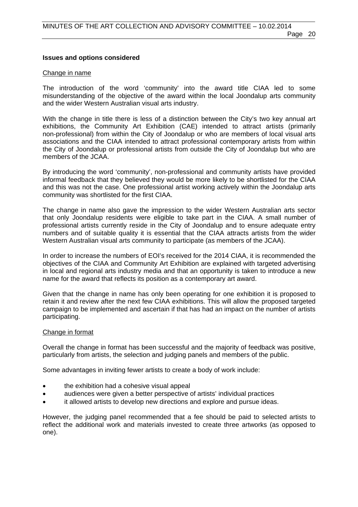#### **Issues and options considered**

#### Change in name

The introduction of the word 'community' into the award title CIAA led to some misunderstanding of the objective of the award within the local Joondalup arts community and the wider Western Australian visual arts industry.

With the change in title there is less of a distinction between the City's two key annual art exhibitions, the Community Art Exhibition (CAE) intended to attract artists (primarily non-professional) from within the City of Joondalup or who are members of local visual arts associations and the CIAA intended to attract professional contemporary artists from within the City of Joondalup or professional artists from outside the City of Joondalup but who are members of the JCAA.

By introducing the word 'community', non-professional and community artists have provided informal feedback that they believed they would be more likely to be shortlisted for the CIAA and this was not the case. One professional artist working actively within the Joondalup arts community was shortlisted for the first CIAA.

The change in name also gave the impression to the wider Western Australian arts sector that only Joondalup residents were eligible to take part in the CIAA. A small number of professional artists currently reside in the City of Joondalup and to ensure adequate entry numbers and of suitable quality it is essential that the CIAA attracts artists from the wider Western Australian visual arts community to participate (as members of the JCAA).

In order to increase the numbers of EOI's received for the 2014 CIAA, it is recommended the objectives of the CIAA and Community Art Exhibition are explained with targeted advertising in local and regional arts industry media and that an opportunity is taken to introduce a new name for the award that reflects its position as a contemporary art award.

Given that the change in name has only been operating for one exhibition it is proposed to retain it and review after the next few CIAA exhibitions. This will allow the proposed targeted campaign to be implemented and ascertain if that has had an impact on the number of artists participating.

#### Change in format

Overall the change in format has been successful and the majority of feedback was positive, particularly from artists, the selection and judging panels and members of the public.

Some advantages in inviting fewer artists to create a body of work include:

- the exhibition had a cohesive visual appeal
- audiences were given a better perspective of artists' individual practices
- it allowed artists to develop new directions and explore and pursue ideas.

However, the judging panel recommended that a fee should be paid to selected artists to reflect the additional work and materials invested to create three artworks (as opposed to one).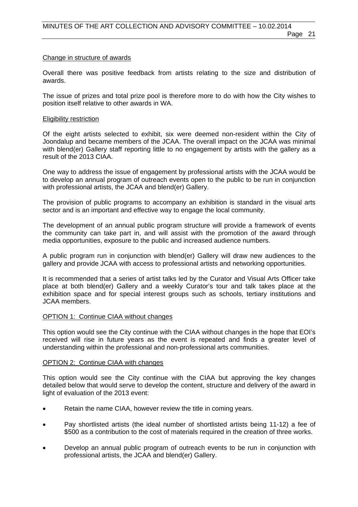# Change in structure of awards

Overall there was positive feedback from artists relating to the size and distribution of awards.

The issue of prizes and total prize pool is therefore more to do with how the City wishes to position itself relative to other awards in WA.

# Eligibility restriction

Of the eight artists selected to exhibit, six were deemed non-resident within the City of Joondalup and became members of the JCAA. The overall impact on the JCAA was minimal with blend(er) Gallery staff reporting little to no engagement by artists with the gallery as a result of the 2013 CIAA.

One way to address the issue of engagement by professional artists with the JCAA would be to develop an annual program of outreach events open to the public to be run in conjunction with professional artists, the JCAA and blend(er) Gallery.

The provision of public programs to accompany an exhibition is standard in the visual arts sector and is an important and effective way to engage the local community.

The development of an annual public program structure will provide a framework of events the community can take part in, and will assist with the promotion of the award through media opportunities, exposure to the public and increased audience numbers.

A public program run in conjunction with blend(er) Gallery will draw new audiences to the gallery and provide JCAA with access to professional artists and networking opportunities.

It is recommended that a series of artist talks led by the Curator and Visual Arts Officer take place at both blend(er) Gallery and a weekly Curator's tour and talk takes place at the exhibition space and for special interest groups such as schools, tertiary institutions and JCAA members.

# OPTION 1: Continue CIAA without changes

This option would see the City continue with the CIAA without changes in the hope that EOI's received will rise in future years as the event is repeated and finds a greater level of understanding within the professional and non-professional arts communities.

# OPTION 2: Continue CIAA with changes

This option would see the City continue with the CIAA but approving the key changes detailed below that would serve to develop the content, structure and delivery of the award in light of evaluation of the 2013 event:

- Retain the name CIAA, however review the title in coming years.
- Pay shortlisted artists (the ideal number of shortlisted artists being 11-12) a fee of \$500 as a contribution to the cost of materials required in the creation of three works.
- Develop an annual public program of outreach events to be run in conjunction with professional artists, the JCAA and blend(er) Gallery.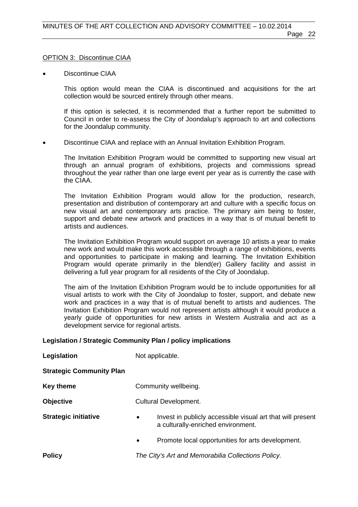#### OPTION 3: Discontinue CIAA

Discontinue CIAA

This option would mean the CIAA is discontinued and acquisitions for the art collection would be sourced entirely through other means.

If this option is selected, it is recommended that a further report be submitted to Council in order to re-assess the City of Joondalup's approach to art and collections for the Joondalup community.

Discontinue CIAA and replace with an Annual Invitation Exhibition Program.

The Invitation Exhibition Program would be committed to supporting new visual art through an annual program of exhibitions, projects and commissions spread throughout the year rather than one large event per year as is currently the case with the CIAA.

The Invitation Exhibition Program would allow for the production, research, presentation and distribution of contemporary art and culture with a specific focus on new visual art and contemporary arts practice. The primary aim being to foster, support and debate new artwork and practices in a way that is of mutual benefit to artists and audiences.

The Invitation Exhibition Program would support on average 10 artists a year to make new work and would make this work accessible through a range of exhibitions, events and opportunities to participate in making and learning. The Invitation Exhibition Program would operate primarily in the blend(er) Gallery facility and assist in delivering a full year program for all residents of the City of Joondalup.

The aim of the Invitation Exhibition Program would be to include opportunities for all visual artists to work with the City of Joondalup to foster, support, and debate new work and practices in a way that is of mutual benefit to artists and audiences. The Invitation Exhibition Program would not represent artists although it would produce a yearly guide of opportunities for new artists in Western Australia and act as a development service for regional artists.

#### **Legislation / Strategic Community Plan / policy implications**

| Legislation                     | Not applicable.                                                                                               |  |
|---------------------------------|---------------------------------------------------------------------------------------------------------------|--|
| <b>Strategic Community Plan</b> |                                                                                                               |  |
| <b>Key theme</b>                | Community wellbeing.                                                                                          |  |
| <b>Objective</b>                | <b>Cultural Development.</b>                                                                                  |  |
| <b>Strategic initiative</b>     | Invest in publicly accessible visual art that will present<br>$\bullet$<br>a culturally-enriched environment. |  |
|                                 | Promote local opportunities for arts development.<br>$\bullet$                                                |  |
| <b>Policy</b>                   | The City's Art and Memorabilia Collections Policy.                                                            |  |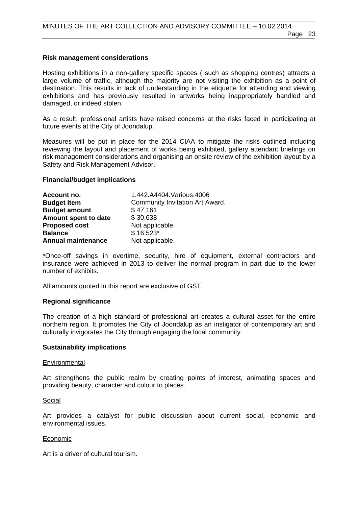#### **Risk management considerations**

Hosting exhibitions in a non-gallery specific spaces ( such as shopping centres) attracts a large volume of traffic, although the majority are not visiting the exhibition as a point of destination. This results in lack of understanding in the etiquette for attending and viewing exhibitions and has previously resulted in artworks being inappropriately handled and damaged, or indeed stolen.

As a result, professional artists have raised concerns at the risks faced in participating at future events at the City of Joondalup.

Measures will be put in place for the 2014 CIAA to mitigate the risks outlined including reviewing the layout and placement of works being exhibited, gallery attendant briefings on risk management considerations and organising an onsite review of the exhibition layout by a Safety and Risk Management Advisor.

#### **Financial/budget implications**

| Account no.               | 1.442.A4404.Various.4006               |
|---------------------------|----------------------------------------|
| <b>Budget Item</b>        | <b>Community Invitation Art Award.</b> |
| <b>Budget amount</b>      | \$47,161                               |
| Amount spent to date      | \$30,638                               |
| <b>Proposed cost</b>      | Not applicable.                        |
| <b>Balance</b>            | $$16,523$ *                            |
| <b>Annual maintenance</b> | Not applicable.                        |

\*Once-off savings in overtime, security, hire of equipment, external contractors and insurance were achieved in 2013 to deliver the normal program in part due to the lower number of exhibits.

All amounts quoted in this report are exclusive of GST.

#### **Regional significance**

The creation of a high standard of professional art creates a cultural asset for the entire northern region. It promotes the City of Joondalup as an instigator of contemporary art and culturally invigorates the City through engaging the local community.

#### **Sustainability implications**

#### **Environmental**

Art strengthens the public realm by creating points of interest, animating spaces and providing beauty, character and colour to places.

#### Social

Art provides a catalyst for public discussion about current social, economic and environmental issues.

#### Economic

Art is a driver of cultural tourism.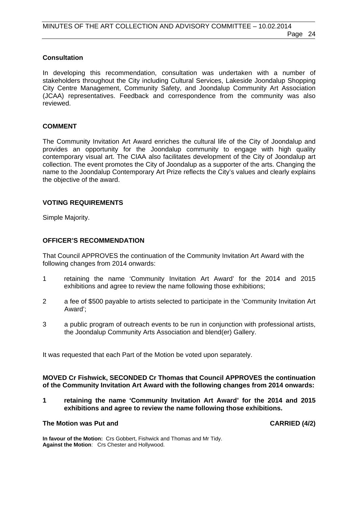#### **Consultation**

In developing this recommendation, consultation was undertaken with a number of stakeholders throughout the City including Cultural Services, Lakeside Joondalup Shopping City Centre Management, Community Safety, and Joondalup Community Art Association (JCAA) representatives. Feedback and correspondence from the community was also reviewed.

#### **COMMENT**

The Community Invitation Art Award enriches the cultural life of the City of Joondalup and provides an opportunity for the Joondalup community to engage with high quality contemporary visual art. The CIAA also facilitates development of the City of Joondalup art collection. The event promotes the City of Joondalup as a supporter of the arts. Changing the name to the Joondalup Contemporary Art Prize reflects the City's values and clearly explains the objective of the award.

#### **VOTING REQUIREMENTS**

Simple Majority.

#### **OFFICER'S RECOMMENDATION**

That Council APPROVES the continuation of the Community Invitation Art Award with the following changes from 2014 onwards:

- 1 retaining the name 'Community Invitation Art Award' for the 2014 and 2015 exhibitions and agree to review the name following those exhibitions;
- 2 a fee of \$500 payable to artists selected to participate in the 'Community Invitation Art Award';
- 3 a public program of outreach events to be run in conjunction with professional artists, the Joondalup Community Arts Association and blend(er) Gallery.

It was requested that each Part of the Motion be voted upon separately.

#### **MOVED Cr Fishwick, SECONDED Cr Thomas that Council APPROVES the continuation of the Community Invitation Art Award with the following changes from 2014 onwards:**

**1 retaining the name 'Community Invitation Art Award' for the 2014 and 2015 exhibitions and agree to review the name following those exhibitions.** 

#### The Motion was Put and **CARRIED** (4/2)

**In favour of the Motion:** Crs Gobbert, Fishwick and Thomas and Mr Tidy. **Against the Motion**: Crs Chester and Hollywood.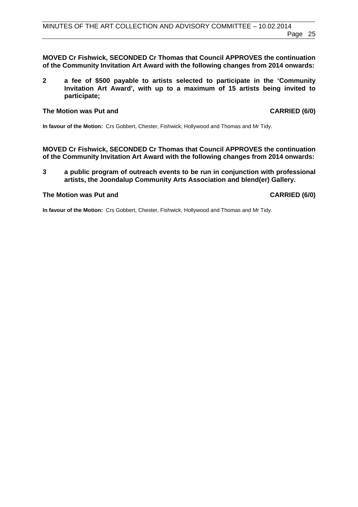**MOVED Cr Fishwick, SECONDED Cr Thomas that Council APPROVES the continuation of the Community Invitation Art Award with the following changes from 2014 onwards:** 

**2 a fee of \$500 payable to artists selected to participate in the 'Community Invitation Art Award', with up to a maximum of 15 artists being invited to participate;** 

#### The Motion was Put and **CARRIED** (6/0)

**In favour of the Motion:** Crs Gobbert, Chester, Fishwick, Hollywood and Thomas and Mr Tidy.

**MOVED Cr Fishwick, SECONDED Cr Thomas that Council APPROVES the continuation of the Community Invitation Art Award with the following changes from 2014 onwards:** 

**3 a public program of outreach events to be run in conjunction with professional artists, the Joondalup Community Arts Association and blend(er) Gallery.** 

#### The Motion was Put and **CARRIED** (6/0)

**In favour of the Motion:** Crs Gobbert, Chester, Fishwick, Hollywood and Thomas and Mr Tidy.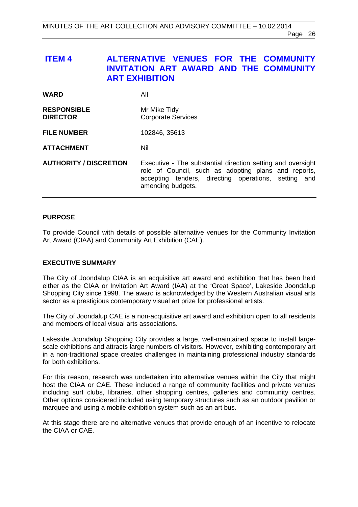# <span id="page-25-0"></span> **ITEM 4 ALTERNATIVE VENUES FOR THE COMMUNITY INVITATION ART AWARD AND THE COMMUNITY ART EXHIBITION**

| <b>WARD</b>                           | All                                                                                                                                                                                              |
|---------------------------------------|--------------------------------------------------------------------------------------------------------------------------------------------------------------------------------------------------|
| <b>RESPONSIBLE</b><br><b>DIRECTOR</b> | Mr Mike Tidy<br><b>Corporate Services</b>                                                                                                                                                        |
| <b>FILE NUMBER</b>                    | 102846, 35613                                                                                                                                                                                    |
| <b>ATTACHMENT</b>                     | Nil                                                                                                                                                                                              |
| <b>AUTHORITY / DISCRETION</b>         | Executive - The substantial direction setting and oversight<br>role of Council, such as adopting plans and reports,<br>accepting tenders, directing operations, setting and<br>amending budgets. |

#### **PURPOSE**

To provide Council with details of possible alternative venues for the Community Invitation Art Award (CIAA) and Community Art Exhibition (CAE).

#### **EXECUTIVE SUMMARY**

The City of Joondalup CIAA is an acquisitive art award and exhibition that has been held either as the CIAA or Invitation Art Award (IAA) at the 'Great Space', Lakeside Joondalup Shopping City since 1998. The award is acknowledged by the Western Australian visual arts sector as a prestigious contemporary visual art prize for professional artists.

The City of Joondalup CAE is a non-acquisitive art award and exhibition open to all residents and members of local visual arts associations.

Lakeside Joondalup Shopping City provides a large, well-maintained space to install largescale exhibitions and attracts large numbers of visitors. However, exhibiting contemporary art in a non-traditional space creates challenges in maintaining professional industry standards for both exhibitions.

For this reason, research was undertaken into alternative venues within the City that might host the CIAA or CAE. These included a range of community facilities and private venues including surf clubs, libraries, other shopping centres, galleries and community centres. Other options considered included using temporary structures such as an outdoor pavilion or marquee and using a mobile exhibition system such as an art bus.

At this stage there are no alternative venues that provide enough of an incentive to relocate the CIAA or CAE.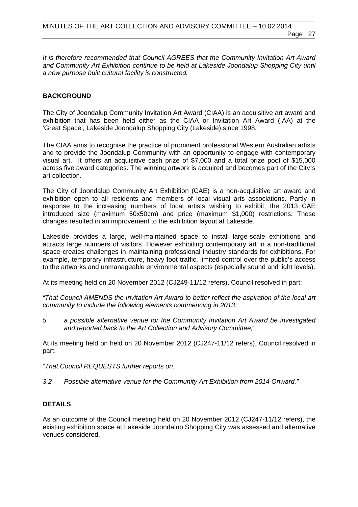*It is therefore recommended that Council AGREES that the Community Invitation Art Award and Community Art Exhibition continue to be held at Lakeside Joondalup Shopping City until a new purpose built cultural facility is constructed.* 

#### **BACKGROUND**

The City of Joondalup Community Invitation Art Award (CIAA) is an acquisitive art award and exhibition that has been held either as the CIAA or Invitation Art Award (IAA) at the 'Great Space', Lakeside Joondalup Shopping City (Lakeside) since 1998.

The CIAA aims to recognise the practice of prominent professional Western Australian artists and to provide the Joondalup Community with an opportunity to engage with contemporary visual art. It offers an acquisitive cash prize of \$7,000 and a total prize pool of \$15,000 across five award categories. The winning artwork is acquired and becomes part of the City's art collection.

The City of Joondalup Community Art Exhibition (CAE) is a non-acquisitive art award and exhibition open to all residents and members of local visual arts associations. Partly in response to the increasing numbers of local artists wishing to exhibit, the 2013 CAE introduced size (maximum 50x50cm) and price (maximum \$1,000) restrictions. These changes resulted in an improvement to the exhibition layout at Lakeside.

Lakeside provides a large, well-maintained space to install large-scale exhibitions and attracts large numbers of visitors. However exhibiting contemporary art in a non-traditional space creates challenges in maintaining professional industry standards for exhibitions. For example, temporary infrastructure, heavy foot traffic, limited control over the public's access to the artworks and unmanageable environmental aspects (especially sound and light levels).

At its meeting held on 20 November 2012 (CJ249-11/12 refers), Council resolved in part:

*"That Council AMENDS the Invitation Art Award to better reflect the aspiration of the local art community to include the following elements commencing in 2013:* 

*5 a possible alternative venue for the Community Invitation Art Award be investigated and reported back to the Art Collection and Advisory Committee;"* 

At its meeting held on held on 20 November 2012 (CJ247-11/12 refers), Council resolved in part:

*"That Council REQUESTS further reports on:* 

*3.2 Possible alternative venue for the Community Art Exhibition from 2014 Onward."* 

#### **DETAILS**

As an outcome of the Council meeting held on 20 November 2012 (CJ247-11/12 refers), the existing exhibition space at Lakeside Joondalup Shopping City was assessed and alternative venues considered.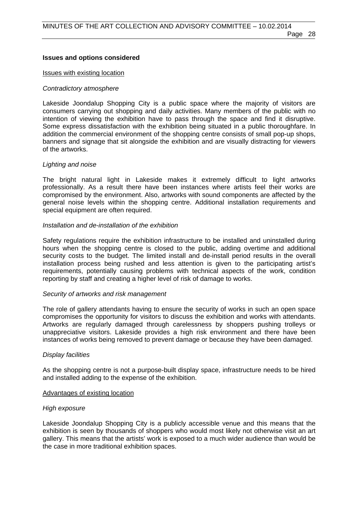#### **Issues and options considered**

#### Issues with existing location

#### *Contradictory atmosphere*

Lakeside Joondalup Shopping City is a public space where the majority of visitors are consumers carrying out shopping and daily activities. Many members of the public with no intention of viewing the exhibition have to pass through the space and find it disruptive. Some express dissatisfaction with the exhibition being situated in a public thoroughfare. In addition the commercial environment of the shopping centre consists of small pop-up shops, banners and signage that sit alongside the exhibition and are visually distracting for viewers of the artworks.

#### *Lighting and noise*

The bright natural light in Lakeside makes it extremely difficult to light artworks professionally. As a result there have been instances where artists feel their works are compromised by the environment. Also, artworks with sound components are affected by the general noise levels within the shopping centre. Additional installation requirements and special equipment are often required.

#### *Installation and de-installation of the exhibition*

Safety regulations require the exhibition infrastructure to be installed and uninstalled during hours when the shopping centre is closed to the public, adding overtime and additional security costs to the budget. The limited install and de-install period results in the overall installation process being rushed and less attention is given to the participating artist's requirements, potentially causing problems with technical aspects of the work, condition reporting by staff and creating a higher level of risk of damage to works.

#### *Security of artworks and risk management*

The role of gallery attendants having to ensure the security of works in such an open space compromises the opportunity for visitors to discuss the exhibition and works with attendants. Artworks are regularly damaged through carelessness by shoppers pushing trolleys or unappreciative visitors. Lakeside provides a high risk environment and there have been instances of works being removed to prevent damage or because they have been damaged.

#### *Display facilities*

As the shopping centre is not a purpose-built display space, infrastructure needs to be hired and installed adding to the expense of the exhibition.

#### Advantages of existing location

#### *High exposure*

Lakeside Joondalup Shopping City is a publicly accessible venue and this means that the exhibition is seen by thousands of shoppers who would most likely not otherwise visit an art gallery. This means that the artists' work is exposed to a much wider audience than would be the case in more traditional exhibition spaces.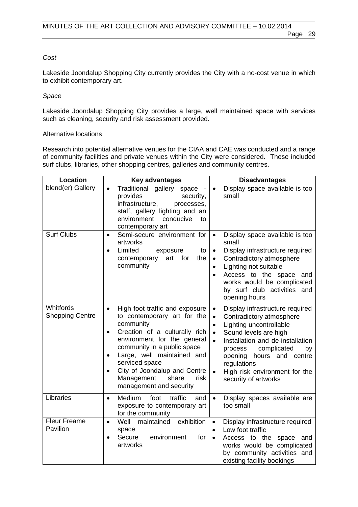#### *Cost*

Lakeside Joondalup Shopping City currently provides the City with a no-cost venue in which to exhibit contemporary art.

#### *Space*

Lakeside Joondalup Shopping City provides a large, well maintained space with services such as cleaning, security and risk assessment provided.

#### Alternative locations

Research into potential alternative venues for the CIAA and CAE was conducted and a range of community facilities and private venues within the City were considered. These included surf clubs, libraries, other shopping centres, galleries and community centres.

| <b>Location</b>                     | <b>Key advantages</b>                                                                                                                                                                                                                                                                                                                                                   | <b>Disadvantages</b>                                                                                                                                                                                                                                                                                                                                                     |
|-------------------------------------|-------------------------------------------------------------------------------------------------------------------------------------------------------------------------------------------------------------------------------------------------------------------------------------------------------------------------------------------------------------------------|--------------------------------------------------------------------------------------------------------------------------------------------------------------------------------------------------------------------------------------------------------------------------------------------------------------------------------------------------------------------------|
| blend(er) Gallery                   | Traditional gallery<br>$\bullet$<br>space<br>provides<br>security,<br>infrastructure,<br>processes,<br>staff, gallery lighting and an<br>environment<br>conducive<br>to<br>contemporary art                                                                                                                                                                             | Display space available is too<br>$\bullet$<br>small                                                                                                                                                                                                                                                                                                                     |
| <b>Surf Clubs</b>                   | Semi-secure environment for<br>$\bullet$<br>artworks<br>Limited<br>exposure<br>to<br>$\bullet$<br>art<br>for<br>the<br>contemporary<br>community                                                                                                                                                                                                                        | Display space available is too<br>$\bullet$<br>small<br>Display infrastructure required<br>$\bullet$<br>Contradictory atmosphere<br>$\bullet$<br>Lighting not suitable<br>$\bullet$<br>Access to the space and<br>$\bullet$<br>works would be complicated<br>by surf club activities and<br>opening hours                                                                |
| Whitfords<br><b>Shopping Centre</b> | High foot traffic and exposure<br>$\bullet$<br>to contemporary art for the<br>community<br>Creation of a culturally rich<br>$\bullet$<br>environment for the general<br>community in a public space<br>Large, well maintained and<br>$\bullet$<br>serviced space<br>City of Joondalup and Centre<br>$\bullet$<br>Management<br>share<br>risk<br>management and security | Display infrastructure required<br>$\bullet$<br>Contradictory atmosphere<br>$\bullet$<br>Lighting uncontrollable<br>$\bullet$<br>Sound levels are high<br>$\bullet$<br>Installation and de-installation<br>$\bullet$<br>complicated<br>process<br>by<br>opening<br>hours and centre<br>regulations<br>High risk environment for the<br>$\bullet$<br>security of artworks |
| Libraries                           | Medium<br>foot<br>traffic<br>and<br>$\bullet$<br>exposure to contemporary art<br>for the community                                                                                                                                                                                                                                                                      | Display spaces available are<br>$\bullet$<br>too small                                                                                                                                                                                                                                                                                                                   |
| <b>Fleur Freame</b><br>Pavilion     | exhibition<br>Well<br>maintained<br>$\bullet$<br>space<br>Secure<br>environment<br>for<br>$\bullet$<br>artworks                                                                                                                                                                                                                                                         | Display infrastructure required<br>$\bullet$<br>Low foot traffic<br>$\bullet$<br>Access to the space<br>and<br>$\bullet$<br>works would be complicated<br>by community activities and<br>existing facility bookings                                                                                                                                                      |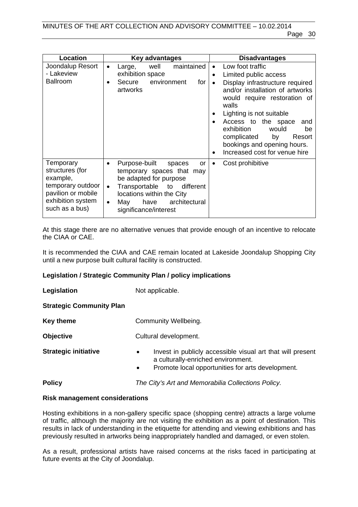| <b>Location</b>                                                                                                            | Key advantages                                                                                                                                                                                                                                        | <b>Disadvantages</b>                                                                                                                                                                                                                                                                                                                                                     |
|----------------------------------------------------------------------------------------------------------------------------|-------------------------------------------------------------------------------------------------------------------------------------------------------------------------------------------------------------------------------------------------------|--------------------------------------------------------------------------------------------------------------------------------------------------------------------------------------------------------------------------------------------------------------------------------------------------------------------------------------------------------------------------|
| Joondalup Resort<br>- Lakeview<br><b>Ballroom</b>                                                                          | well<br>maintained<br>Large,<br>$\bullet$<br>exhibition space<br>environment<br>Secure<br>for<br>$\bullet$<br>artworks                                                                                                                                | Low foot traffic<br>Limited public access<br>$\bullet$<br>Display infrastructure required<br>$\bullet$<br>and/or installation of artworks<br>would require restoration of<br>walls<br>Lighting is not suitable<br>Access to the space<br>and<br>exhibition<br>would<br>be<br>complicated<br>by<br>Resort<br>bookings and opening hours.<br>Increased cost for venue hire |
| Temporary<br>structures (for<br>example,<br>temporary outdoor<br>pavilion or mobile<br>exhibition system<br>such as a bus) | Purpose-built<br>spaces<br>or<br>$\bullet$<br>temporary spaces that may<br>be adapted for purpose<br>Transportable<br>different<br>to<br>$\bullet$<br>locations within the City<br>architectural<br>have<br>May<br>$\bullet$<br>significance/interest | Cost prohibitive<br>$\bullet$                                                                                                                                                                                                                                                                                                                                            |

At this stage there are no alternative venues that provide enough of an incentive to relocate the CIAA or CAE.

It is recommended the CIAA and CAE remain located at Lakeside Joondalup Shopping City until a new purpose built cultural facility is constructed.

#### **Legislation / Strategic Community Plan / policy implications**

**Legislation** Not applicable. **Strategic Community Plan Key theme Community Wellbeing. Objective Cultural development. Strategic initiative •** Invest in publicly accessible visual art that will present a culturally-enriched environment. Promote local opportunities for arts development. **Policy** *The City's Art and Memorabilia Collections Policy.* 

#### **Risk management considerations**

Hosting exhibitions in a non-gallery specific space (shopping centre) attracts a large volume of traffic, although the majority are not visiting the exhibition as a point of destination. This results in lack of understanding in the etiquette for attending and viewing exhibitions and has previously resulted in artworks being inappropriately handled and damaged, or even stolen.

As a result, professional artists have raised concerns at the risks faced in participating at future events at the City of Joondalup.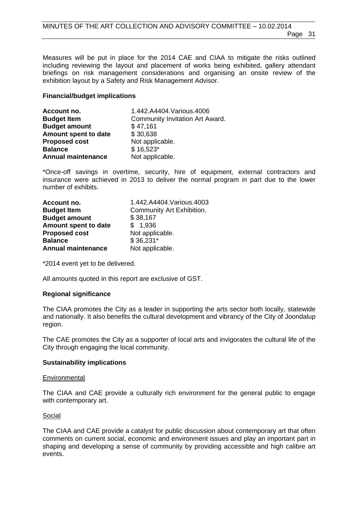Measures will be put in place for the 2014 CAE and CIAA to mitigate the risks outlined including reviewing the layout and placement of works being exhibited, gallery attendant briefings on risk management considerations and organising an onsite review of the exhibition layout by a Safety and Risk Management Advisor.

#### **Financial/budget implications**

| Account no.               | 1.442.A4404.Various.4006        |
|---------------------------|---------------------------------|
| <b>Budget Item</b>        | Community Invitation Art Award. |
| <b>Budget amount</b>      | \$47,161                        |
| Amount spent to date      | \$30,638                        |
| <b>Proposed cost</b>      | Not applicable.                 |
| <b>Balance</b>            | $$16,523*$                      |
| <b>Annual maintenance</b> | Not applicable.                 |

\*Once-off savings in overtime, security, hire of equipment, external contractors and insurance were achieved in 2013 to deliver the normal program in part due to the lower number of exhibits.

| Account no.               | 1.442.A4404.Various.4003  |
|---------------------------|---------------------------|
| <b>Budget Item</b>        | Community Art Exhibition. |
| <b>Budget amount</b>      | \$38,167                  |
| Amount spent to date      | \$1,936                   |
| <b>Proposed cost</b>      | Not applicable.           |
| <b>Balance</b>            | $$36,231*$                |
| <b>Annual maintenance</b> | Not applicable.           |

\*2014 event yet to be delivered.

All amounts quoted in this report are exclusive of GST.

#### **Regional significance**

The CIAA promotes the City as a leader in supporting the arts sector both locally, statewide and nationally. It also benefits the cultural development and vibrancy of the City of Joondalup region.

The CAE promotes the City as a supporter of local arts and invigorates the cultural life of the City through engaging the local community.

#### **Sustainability implications**

#### **Environmental**

The CIAA and CAE provide a culturally rich environment for the general public to engage with contemporary art.

#### Social

The CIAA and CAE provide a catalyst for public discussion about contemporary art that often comments on current social, economic and environment issues and play an important part in shaping and developing a sense of community by providing accessible and high calibre art events.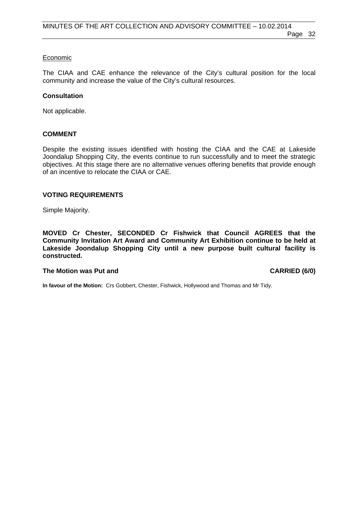#### Economic

The CIAA and CAE enhance the relevance of the City's cultural position for the local community and increase the value of the City's cultural resources.

#### **Consultation**

Not applicable.

#### **COMMENT**

Despite the existing issues identified with hosting the CIAA and the CAE at Lakeside Joondalup Shopping City, the events continue to run successfully and to meet the strategic objectives. At this stage there are no alternative venues offering benefits that provide enough of an incentive to relocate the CIAA or CAE.

#### **VOTING REQUIREMENTS**

Simple Majority.

**MOVED Cr Chester, SECONDED Cr Fishwick that Council AGREES that the Community Invitation Art Award and Community Art Exhibition continue to be held at Lakeside Joondalup Shopping City until a new purpose built cultural facility is constructed.** 

#### The Motion was Put and **CARRIED** (6/0)

**In favour of the Motion:** Crs Gobbert, Chester, Fishwick, Hollywood and Thomas and Mr Tidy.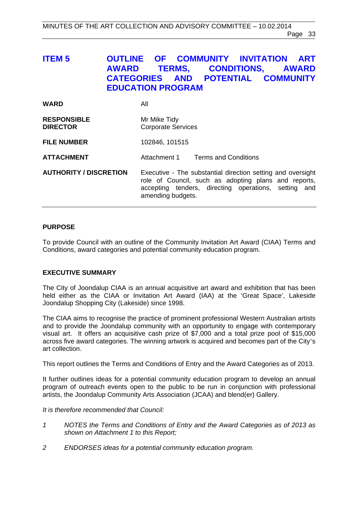# <span id="page-32-0"></span>**ITEM 5 OUTLINE OF COMMUNITY INVITATION ART AWARD TERMS, CONDITIONS, AWARD CATEGORIES AND POTENTIAL COMMUNITY EDUCATION PROGRAM**

| <b>WARD</b>                           | All                                                                                                                                                                                              |
|---------------------------------------|--------------------------------------------------------------------------------------------------------------------------------------------------------------------------------------------------|
| <b>RESPONSIBLE</b><br><b>DIRECTOR</b> | Mr Mike Tidy<br><b>Corporate Services</b>                                                                                                                                                        |
| <b>FILE NUMBER</b>                    | 102846, 101515                                                                                                                                                                                   |
| <b>ATTACHMENT</b>                     | Attachment 1 Terms and Conditions                                                                                                                                                                |
| <b>AUTHORITY / DISCRETION</b>         | Executive - The substantial direction setting and oversight<br>role of Council, such as adopting plans and reports,<br>accepting tenders, directing operations, setting and<br>amending budgets. |

#### **PURPOSE**

To provide Council with an outline of the Community Invitation Art Award (CIAA) Terms and Conditions, award categories and potential community education program.

#### **EXECUTIVE SUMMARY**

The City of Joondalup CIAA is an annual acquisitive art award and exhibition that has been held either as the CIAA or Invitation Art Award (IAA) at the 'Great Space', Lakeside Joondalup Shopping City (Lakeside) since 1998.

The CIAA aims to recognise the practice of prominent professional Western Australian artists and to provide the Joondalup community with an opportunity to engage with contemporary visual art. It offers an acquisitive cash prize of \$7,000 and a total prize pool of \$15,000 across five award categories. The winning artwork is acquired and becomes part of the City's art collection.

This report outlines the Terms and Conditions of Entry and the Award Categories as of 2013.

It further outlines ideas for a potential community education program to develop an annual program of outreach events open to the public to be run in conjunction with professional artists, the Joondalup Community Arts Association (JCAA) and blend(er) Gallery.

*It is therefore recommended that Council:* 

- *1 NOTES the Terms and Conditions of Entry and the Award Categories as of 2013 as shown on Attachment 1 to this Report;*
- *2 ENDORSES ideas for a potential community education program.*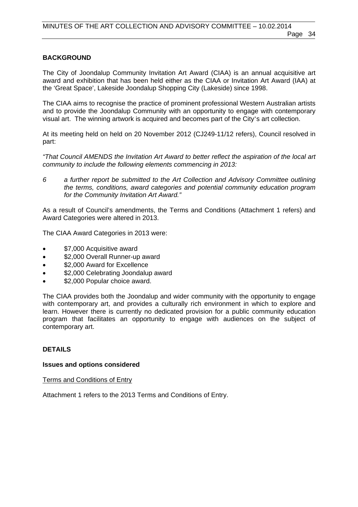#### **BACKGROUND**

The City of Joondalup Community Invitation Art Award (CIAA) is an annual acquisitive art award and exhibition that has been held either as the CIAA or Invitation Art Award (IAA) at the 'Great Space', Lakeside Joondalup Shopping City (Lakeside) since 1998.

The CIAA aims to recognise the practice of prominent professional Western Australian artists and to provide the Joondalup Community with an opportunity to engage with contemporary visual art. The winning artwork is acquired and becomes part of the City's art collection.

At its meeting held on held on 20 November 2012 (CJ249-11/12 refers), Council resolved in part:

*"That Council AMENDS the Invitation Art Award to better reflect the aspiration of the local art community to include the following elements commencing in 2013:* 

*6 a further report be submitted to the Art Collection and Advisory Committee outlining the terms, conditions, award categories and potential community education program for the Community Invitation Art Award."*

As a result of Council's amendments, the Terms and Conditions (Attachment 1 refers) and Award Categories were altered in 2013.

The CIAA Award Categories in 2013 were:

- \$7,000 Acquisitive award
- \$2,000 Overall Runner-up award
- \$2,000 Award for Excellence
- \$2,000 Celebrating Joondalup award
- \$2,000 Popular choice award.

The CIAA provides both the Joondalup and wider community with the opportunity to engage with contemporary art, and provides a culturally rich environment in which to explore and learn. However there is currently no dedicated provision for a public community education program that facilitates an opportunity to engage with audiences on the subject of contemporary art.

#### **DETAILS**

#### **Issues and options considered**

Terms and Conditions of Entry

Attachment 1 refers to the 2013 Terms and Conditions of Entry.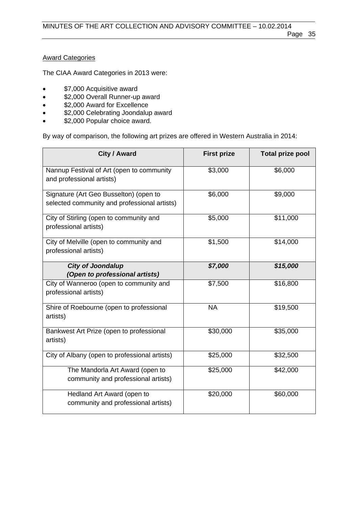#### **Award Categories**

The CIAA Award Categories in 2013 were:

- **\*** \$7,000 Acquisitive award
- \$2,000 Overall Runner-up award
- **\$2,000 Award for Excellence**
- \$2,000 Celebrating Joondalup award
- \$2,000 Popular choice award.

By way of comparison, the following art prizes are offered in Western Australia in 2014:

| City / Award                                                                           | <b>First prize</b> | <b>Total prize pool</b> |
|----------------------------------------------------------------------------------------|--------------------|-------------------------|
| Nannup Festival of Art (open to community<br>and professional artists)                 | \$3,000            | \$6,000                 |
| Signature (Art Geo Busselton) (open to<br>selected community and professional artists) | \$6,000            | \$9,000                 |
| City of Stirling (open to community and<br>professional artists)                       | \$5,000            | \$11,000                |
| City of Melville (open to community and<br>professional artists)                       | \$1,500            | \$14,000                |
| <b>City of Joondalup</b>                                                               | \$7,000            | \$15,000                |
| (Open to professional artists)                                                         |                    |                         |
| City of Wanneroo (open to community and<br>professional artists)                       | \$7,500            | \$16,800                |
| Shire of Roebourne (open to professional<br>artists)                                   | <b>NA</b>          | \$19,500                |
| Bankwest Art Prize (open to professional<br>artists)                                   | \$30,000           | \$35,000                |
| City of Albany (open to professional artists)                                          | \$25,000           | \$32,500                |
| The Mandorla Art Award (open to<br>community and professional artists)                 | \$25,000           | \$42,000                |
| Hedland Art Award (open to<br>community and professional artists)                      | \$20,000           | \$60,000                |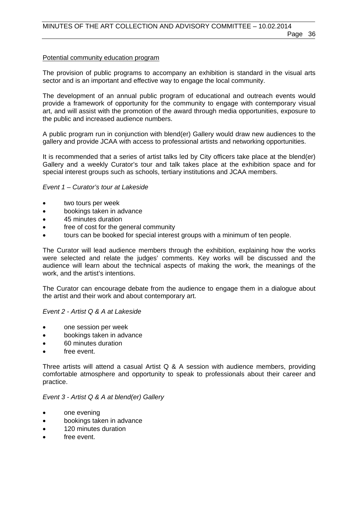#### Potential community education program

The provision of public programs to accompany an exhibition is standard in the visual arts sector and is an important and effective way to engage the local community.

The development of an annual public program of educational and outreach events would provide a framework of opportunity for the community to engage with contemporary visual art, and will assist with the promotion of the award through media opportunities, exposure to the public and increased audience numbers.

A public program run in conjunction with blend(er) Gallery would draw new audiences to the gallery and provide JCAA with access to professional artists and networking opportunities.

It is recommended that a series of artist talks led by City officers take place at the blend(er) Gallery and a weekly Curator's tour and talk takes place at the exhibition space and for special interest groups such as schools, tertiary institutions and JCAA members.

#### *Event 1 – Curator's tour at Lakeside*

- two tours per week
- bookings taken in advance
- 45 minutes duration
- free of cost for the general community
- tours can be booked for special interest groups with a minimum of ten people.

The Curator will lead audience members through the exhibition, explaining how the works were selected and relate the judges' comments. Key works will be discussed and the audience will learn about the technical aspects of making the work, the meanings of the work, and the artist's intentions.

The Curator can encourage debate from the audience to engage them in a dialogue about the artist and their work and about contemporary art.

*Event 2 - Artist Q & A at Lakeside* 

- one session per week
- bookings taken in advance
- 60 minutes duration
- free event.

Three artists will attend a casual Artist Q & A session with audience members, providing comfortable atmosphere and opportunity to speak to professionals about their career and practice.

#### *Event 3 - Artist Q & A at blend(er) Gallery*

- one evening
- bookings taken in advance
- 120 minutes duration
- free event.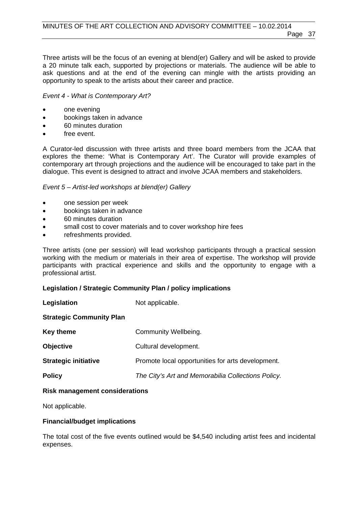Three artists will be the focus of an evening at blend(er) Gallery and will be asked to provide a 20 minute talk each, supported by projections or materials. The audience will be able to ask questions and at the end of the evening can mingle with the artists providing an opportunity to speak to the artists about their career and practice.

#### *Event 4 - What is Contemporary Art?*

- one evening
- bookings taken in advance
- 60 minutes duration
- free event.

A Curator-led discussion with three artists and three board members from the JCAA that explores the theme: 'What is Contemporary Art'. The Curator will provide examples of contemporary art through projections and the audience will be encouraged to take part in the dialogue. This event is designed to attract and involve JCAA members and stakeholders.

#### *Event 5 – Artist-led workshops at blend(er) Gallery*

- one session per week
- bookings taken in advance
- 60 minutes duration
- small cost to cover materials and to cover workshop hire fees
- refreshments provided.

Three artists (one per session) will lead workshop participants through a practical session working with the medium or materials in their area of expertise. The workshop will provide participants with practical experience and skills and the opportunity to engage with a professional artist.

#### **Legislation / Strategic Community Plan / policy implications**

| Legislation                     | Not applicable.                                    |
|---------------------------------|----------------------------------------------------|
| <b>Strategic Community Plan</b> |                                                    |
| <b>Key theme</b>                | Community Wellbeing.                               |
| <b>Objective</b>                | Cultural development.                              |
| <b>Strategic initiative</b>     | Promote local opportunities for arts development.  |
| <b>Policy</b>                   | The City's Art and Memorabilia Collections Policy. |

#### **Risk management considerations**

Not applicable.

#### **Financial/budget implications**

The total cost of the five events outlined would be \$4,540 including artist fees and incidental expenses.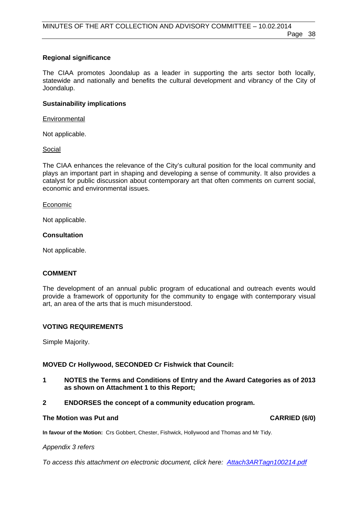#### **Regional significance**

The CIAA promotes Joondalup as a leader in supporting the arts sector both locally, statewide and nationally and benefits the cultural development and vibrancy of the City of Joondalup.

#### **Sustainability implications**

#### **Environmental**

Not applicable.

Social

The CIAA enhances the relevance of the City's cultural position for the local community and plays an important part in shaping and developing a sense of community. It also provides a catalyst for public discussion about contemporary art that often comments on current social, economic and environmental issues.

#### **Economic**

Not applicable.

#### **Consultation**

Not applicable.

#### **COMMENT**

The development of an annual public program of educational and outreach events would provide a framework of opportunity for the community to engage with contemporary visual art, an area of the arts that is much misunderstood.

#### **VOTING REQUIREMENTS**

Simple Majority.

#### **MOVED Cr Hollywood, SECONDED Cr Fishwick that Council:**

**1 NOTES the Terms and Conditions of Entry and the Award Categories as of 2013 as shown on Attachment 1 to this Report;** 

#### **2 ENDORSES the concept of a community education program.**

#### The Motion was Put and **CARRIED** (6/0)

**In favour of the Motion:** Crs Gobbert, Chester, Fishwick, Hollywood and Thomas and Mr Tidy.

*Appendix 3 refers* 

*[To access this attachment on electronic document, click here: Attach3ARTagn100214.pdf](http://www.joondalup.wa.gov.au/files/committees/ACAC/2014/Attach3ARTagn100214.pdf)*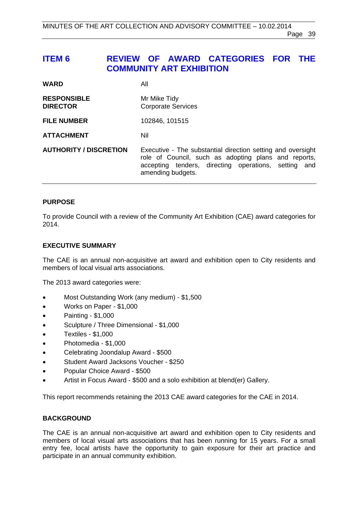# <span id="page-38-0"></span>**ITEM 6 REVIEW OF AWARD CATEGORIES FOR THE COMMUNITY ART EXHIBITION**

| <b>WARD</b>                           | All                                                                                                                                                                                              |
|---------------------------------------|--------------------------------------------------------------------------------------------------------------------------------------------------------------------------------------------------|
| <b>RESPONSIBLE</b><br><b>DIRECTOR</b> | Mr Mike Tidy<br><b>Corporate Services</b>                                                                                                                                                        |
| <b>FILE NUMBER</b>                    | 102846, 101515                                                                                                                                                                                   |
| <b>ATTACHMENT</b>                     | Nil                                                                                                                                                                                              |
| <b>AUTHORITY / DISCRETION</b>         | Executive - The substantial direction setting and oversight<br>role of Council, such as adopting plans and reports,<br>accepting tenders, directing operations, setting and<br>amending budgets. |

#### **PURPOSE**

To provide Council with a review of the Community Art Exhibition (CAE) award categories for 2014.

#### **EXECUTIVE SUMMARY**

The CAE is an annual non-acquisitive art award and exhibition open to City residents and members of local visual arts associations.

The 2013 award categories were:

- Most Outstanding Work (any medium) \$1,500
- Works on Paper \$1,000
- $\bullet$  Painting \$1,000
- Sculpture / Three Dimensional \$1,000
- Textiles \$1,000
- Photomedia \$1,000
- Celebrating Joondalup Award \$500
- Student Award Jacksons Voucher \$250
- Popular Choice Award \$500
- Artist in Focus Award \$500 and a solo exhibition at blend(er) Gallery.

This report recommends retaining the 2013 CAE award categories for the CAE in 2014.

#### **BACKGROUND**

The CAE is an annual non-acquisitive art award and exhibition open to City residents and members of local visual arts associations that has been running for 15 years. For a small entry fee, local artists have the opportunity to gain exposure for their art practice and participate in an annual community exhibition.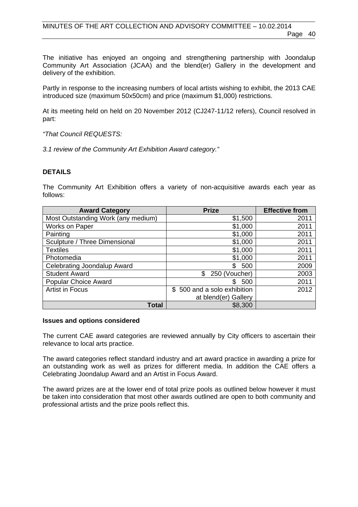The initiative has enjoyed an ongoing and strengthening partnership with Joondalup Community Art Association (JCAA) and the blend(er) Gallery in the development and delivery of the exhibition.

Partly in response to the increasing numbers of local artists wishing to exhibit, the 2013 CAE introduced size (maximum 50x50cm) and price (maximum \$1,000) restrictions.

At its meeting held on held on 20 November 2012 (CJ247-11/12 refers), Council resolved in part:

*"That Council REQUESTS:* 

*3.1 review of the Community Art Exhibition Award category."* 

#### **DETAILS**

The Community Art Exhibition offers a variety of non-acquisitive awards each year as follows:

| <b>Award Category</b>              | <b>Prize</b>                | <b>Effective from</b> |
|------------------------------------|-----------------------------|-----------------------|
| Most Outstanding Work (any medium) | \$1,500                     | 2011                  |
| Works on Paper                     | \$1,000                     | 2011                  |
| Painting                           | \$1,000                     | 2011                  |
| Sculpture / Three Dimensional      | \$1,000                     | 2011                  |
| <b>Textiles</b>                    | \$1,000                     | 2011                  |
| Photomedia                         | \$1,000                     | 2011                  |
| Celebrating Joondalup Award        | \$<br>500                   | 2009                  |
| <b>Student Award</b>               | 250 (Voucher)<br>\$         | 2003                  |
| <b>Popular Choice Award</b>        | 500<br>\$.                  | 2011                  |
| <b>Artist in Focus</b>             | \$500 and a solo exhibition | 2012                  |
|                                    | at blend(er) Gallery        |                       |
| <b>Total</b>                       | \$8,300                     |                       |

#### **Issues and options considered**

The current CAE award categories are reviewed annually by City officers to ascertain their relevance to local arts practice.

The award categories reflect standard industry and art award practice in awarding a prize for an outstanding work as well as prizes for different media. In addition the CAE offers a Celebrating Joondalup Award and an Artist in Focus Award.

The award prizes are at the lower end of total prize pools as outlined below however it must be taken into consideration that most other awards outlined are open to both community and professional artists and the prize pools reflect this.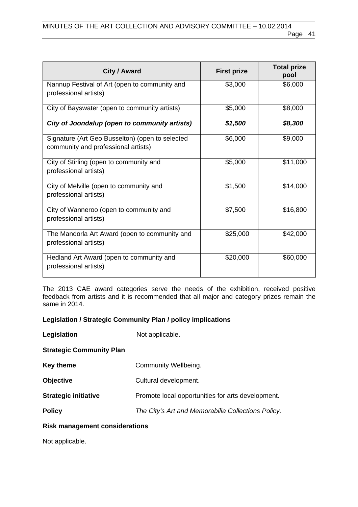| City / Award                                                                           | <b>First prize</b> | <b>Total prize</b><br>pool |
|----------------------------------------------------------------------------------------|--------------------|----------------------------|
| Nannup Festival of Art (open to community and<br>professional artists)                 | \$3,000            | \$6,000                    |
| City of Bayswater (open to community artists)                                          | \$5,000            | \$8,000                    |
| City of Joondalup (open to community artists)                                          | \$1,500            | \$8,300                    |
| Signature (Art Geo Busselton) (open to selected<br>community and professional artists) | \$6,000            | \$9,000                    |
| City of Stirling (open to community and<br>professional artists)                       | \$5,000            | \$11,000                   |
| City of Melville (open to community and<br>professional artists)                       | \$1,500            | \$14,000                   |
| City of Wanneroo (open to community and<br>professional artists)                       | \$7,500            | \$16,800                   |
| The Mandorla Art Award (open to community and<br>professional artists)                 | \$25,000           | \$42,000                   |
| Hedland Art Award (open to community and<br>professional artists)                      | \$20,000           | \$60,000                   |

The 2013 CAE award categories serve the needs of the exhibition, received positive feedback from artists and it is recommended that all major and category prizes remain the same in 2014.

#### **Legislation / Strategic Community Plan / policy implications**

| Legislation                     | Not applicable.                                    |
|---------------------------------|----------------------------------------------------|
| <b>Strategic Community Plan</b> |                                                    |
| <b>Key theme</b>                | Community Wellbeing.                               |
| <b>Objective</b>                | Cultural development.                              |
| <b>Strategic initiative</b>     | Promote local opportunities for arts development.  |
| <b>Policy</b>                   | The City's Art and Memorabilia Collections Policy. |
|                                 |                                                    |

#### **Risk management considerations**

Not applicable.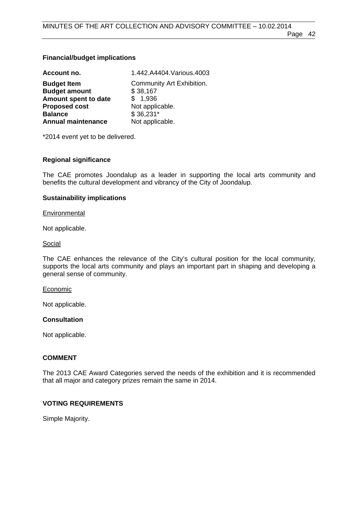#### **Financial/budget implications**

| Account no.               | 1.442.A4404.Various.4003  |
|---------------------------|---------------------------|
| <b>Budget Item</b>        | Community Art Exhibition. |
| <b>Budget amount</b>      | \$38,167                  |
| Amount spent to date      | \$1,936                   |
| <b>Proposed cost</b>      | Not applicable.           |
| <b>Balance</b>            | $$36,231*$                |
| <b>Annual maintenance</b> | Not applicable.           |

\*2014 event yet to be delivered.

#### **Regional significance**

The CAE promotes Joondalup as a leader in supporting the local arts community and benefits the cultural development and vibrancy of the City of Joondalup.

#### **Sustainability implications**

**Environmental** 

Not applicable.

#### Social

The CAE enhances the relevance of the City's cultural position for the local community, supports the local arts community and plays an important part in shaping and developing a general sense of community.

#### **Economic**

Not applicable.

#### **Consultation**

Not applicable.

#### **COMMENT**

The 2013 CAE Award Categories served the needs of the exhibition and it is recommended that all major and category prizes remain the same in 2014.

#### **VOTING REQUIREMENTS**

Simple Majority.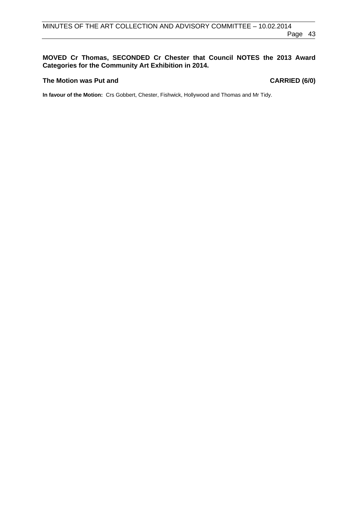#### **MOVED Cr Thomas, SECONDED Cr Chester that Council NOTES the 2013 Award Categories for the Community Art Exhibition in 2014.**

#### The Motion was Put and **CARRIED** (6/0)

**In favour of the Motion:** Crs Gobbert, Chester, Fishwick, Hollywood and Thomas and Mr Tidy.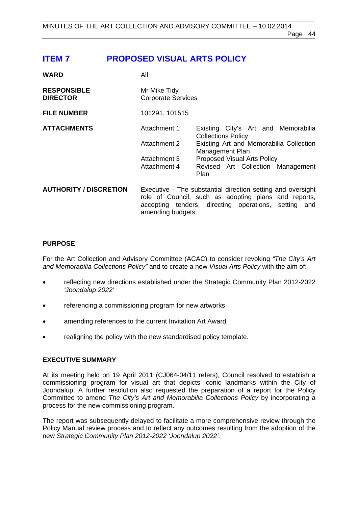# <span id="page-43-0"></span>**ITEM 7 PROPOSED VISUAL ARTS POLICY**

| <b>WARD</b>                           | All                                       |                                                                                                                                                                             |
|---------------------------------------|-------------------------------------------|-----------------------------------------------------------------------------------------------------------------------------------------------------------------------------|
| <b>RESPONSIBLE</b><br><b>DIRECTOR</b> | Mr Mike Tidy<br><b>Corporate Services</b> |                                                                                                                                                                             |
| <b>FILE NUMBER</b>                    | 101291, 101515                            |                                                                                                                                                                             |
| <b>ATTACHMENTS</b>                    | Attachment 1                              | Existing City's Art and Memorabilia<br><b>Collections Policy</b>                                                                                                            |
|                                       | Attachment 2                              | Existing Art and Memorabilia Collection<br>Management Plan                                                                                                                  |
|                                       | Attachment 3                              | <b>Proposed Visual Arts Policy</b>                                                                                                                                          |
|                                       | Attachment 4                              | Revised Art Collection Management<br>Plan                                                                                                                                   |
| <b>AUTHORITY / DISCRETION</b>         | amending budgets.                         | Executive - The substantial direction setting and oversight<br>role of Council, such as adopting plans and reports,<br>accepting tenders, directing operations, setting and |

#### **PURPOSE**

For the Art Collection and Advisory Committee (ACAC) to consider revoking *"The City's Art and Memorabilia Collections Policy"* and to create a new *Visual Arts Policy* with the aim of:

- reflecting new directions established under the Strategic Community Plan 2012-2022 *'Joondalup 2022*'
- referencing a commissioning program for new artworks
- amending references to the current Invitation Art Award
- realigning the policy with the new standardised policy template.

#### **EXECUTIVE SUMMARY**

At its meeting held on 19 April 2011 (CJ064-04/11 refers), Council resolved to establish a commissioning program for visual art that depicts iconic landmarks within the City of Joondalup. A further resolution also requested the preparation of a report for the Policy Committee to amend *The City's Art and Memorabilia Collections Policy* by incorporating a process for the new commissioning program.

The report was subsequently delayed to facilitate a more comprehensive review through the Policy Manual review process and to reflect any outcomes resulting from the adoption of the new *Strategic Community Plan 2012-2022 'Joondalup 2022'.*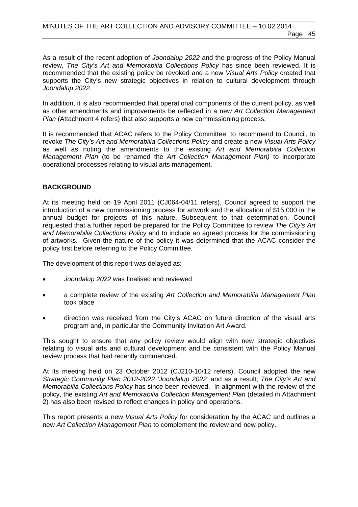As a result of the recent adoption of *Joondalup 2022* and the progress of the Policy Manual review, *The City's Art and Memorabilia Collections Policy* has since been reviewed. It is recommended that the existing policy be revoked and a new *Visual Arts Policy* created that supports the City's new strategic objectives in relation to cultural development through *Joondalup 2022*.

In addition, it is also recommended that operational components of the current policy, as well as other amendments and improvements be reflected in a new *Art Collection Management Plan* (Attachment 4 refers) that also supports a new commissioning process.

It is recommended that ACAC refers to the Policy Committee, to recommend to Council, to revoke *The City's Art and Memorabilia Collections Policy* and create a new *Visual Arts Policy* as well as noting the amendments to the existing *Art and Memorabilia Collection Management Plan* (to be renamed the *Art Collection Management Plan)* to incorporate operational processes relating to visual arts management.

#### **BACKGROUND**

At its meeting held on 19 April 2011 (CJ064-04/11 refers), Council agreed to support the introduction of a new commissioning process for artwork and the allocation of \$15,000 in the annual budget for projects of this nature. Subsequent to that determination, Council requested that a further report be prepared for the Policy Committee to review *The City's Art and Memorabilia Collections Policy* and to include an agreed process for the commissioning of artworks. Given the nature of the policy it was determined that the ACAC consider the policy first before referring to the Policy Committee.

The development of this report was delayed as:

- *Joondalup 2022* was finalised and reviewed
- a complete review of the existing *Art Collection and Memorabilia Management Plan* took place
- direction was received from the City's ACAC on future direction of the visual arts program and, in particular the Community Invitation Art Award.

This sought to ensure that any policy review would align with new strategic objectives relating to visual arts and cultural development and be consistent with the Policy Manual review process that had recently commenced.

At its meeting held on 23 October 2012 (CJ210-10/12 refers), Council adopted the new *Strategic Community Plan 2012-2022 'Joondalup 2022'* and as a result, *The City's Art and Memorabilia Collections Policy* has since been reviewed. In alignment with the review of the policy, the existing *Art and Memorabilia Collection Management Plan* (detailed in Attachment 2) has also been revised to reflect changes in policy and operations.

This report presents a new *Visual Arts Policy* for consideration by the ACAC and outlines a new *Art Collection Management Plan* to complement the review and new policy.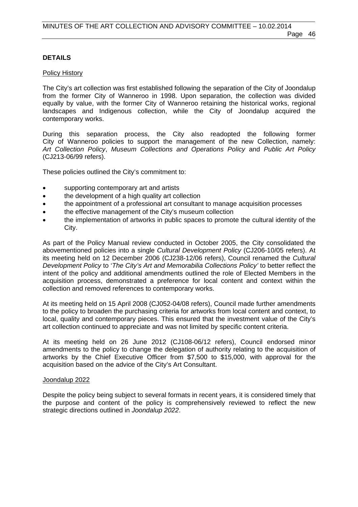#### **DETAILS**

#### Policy History

The City's art collection was first established following the separation of the City of Joondalup from the former City of Wanneroo in 1998. Upon separation, the collection was divided equally by value, with the former City of Wanneroo retaining the historical works, regional landscapes and Indigenous collection, while the City of Joondalup acquired the contemporary works.

During this separation process, the City also readopted the following former City of Wanneroo policies to support the management of the new Collection, namely: *Art Collection Policy*, *Museum Collections and Operations Policy* and *Public Art Policy*  (CJ213-06/99 refers).

These policies outlined the City's commitment to:

- supporting contemporary art and artists
- the development of a high quality art collection
- the appointment of a professional art consultant to manage acquisition processes
- the effective management of the City's museum collection
- the implementation of artworks in public spaces to promote the cultural identity of the City.

As part of the Policy Manual review conducted in October 2005, the City consolidated the abovementioned policies into a single *Cultural Development Policy* (CJ206-10/05 refers). At its meeting held on 12 December 2006 (CJ238-12/06 refers), Council renamed the *Cultural Development Policy* to '*The City's Art and Memorabilia Collections Policy'* to better reflect the intent of the policy and additional amendments outlined the role of Elected Members in the acquisition process, demonstrated a preference for local content and context within the collection and removed references to contemporary works.

At its meeting held on 15 April 2008 (CJ052-04/08 refers), Council made further amendments to the policy to broaden the purchasing criteria for artworks from local content and context, to local, quality and contemporary pieces. This ensured that the investment value of the City's art collection continued to appreciate and was not limited by specific content criteria.

At its meeting held on 26 June 2012 (CJ108-06/12 refers), Council endorsed minor amendments to the policy to change the delegation of authority relating to the acquisition of artworks by the Chief Executive Officer from \$7,500 to \$15,000, with approval for the acquisition based on the advice of the City's Art Consultant.

#### Joondalup 2022

Despite the policy being subject to several formats in recent years, it is considered timely that the purpose and content of the policy is comprehensively reviewed to reflect the new strategic directions outlined in *Joondalup 2022*.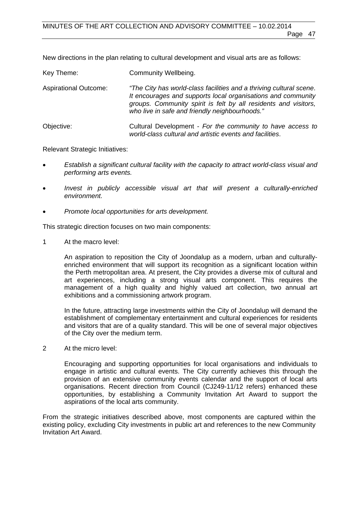New directions in the plan relating to cultural development and visual arts are as follows:

| Key Theme:                   | Community Wellbeing.                                                                                                                                                                                                                                     |
|------------------------------|----------------------------------------------------------------------------------------------------------------------------------------------------------------------------------------------------------------------------------------------------------|
| <b>Aspirational Outcome:</b> | "The City has world-class facilities and a thriving cultural scene.<br>It encourages and supports local organisations and community<br>groups. Community spirit is felt by all residents and visitors,<br>who live in safe and friendly neighbourhoods." |
| Objective:                   | Cultural Development - For the community to have access to<br>world-class cultural and artistic events and facilities.                                                                                                                                   |

Relevant Strategic Initiatives:

- *Establish a significant cultural facility with the capacity to attract world-class visual and performing arts events.*
- *Invest in publicly accessible visual art that will present a culturally-enriched environment.*
- *Promote local opportunities for arts development.*

This strategic direction focuses on two main components:

1 At the macro level:

An aspiration to reposition the City of Joondalup as a modern, urban and culturallyenriched environment that will support its recognition as a significant location within the Perth metropolitan area. At present, the City provides a diverse mix of cultural and art experiences, including a strong visual arts component. This requires the management of a high quality and highly valued art collection, two annual art exhibitions and a commissioning artwork program.

In the future, attracting large investments within the City of Joondalup will demand the establishment of complementary entertainment and cultural experiences for residents and visitors that are of a quality standard. This will be one of several major objectives of the City over the medium term.

2 At the micro level:

 Encouraging and supporting opportunities for local organisations and individuals to engage in artistic and cultural events. The City currently achieves this through the provision of an extensive community events calendar and the support of local arts organisations. Recent direction from Council (CJ249-11/12 refers) enhanced these opportunities, by establishing a Community Invitation Art Award to support the aspirations of the local arts community.

From the strategic initiatives described above, most components are captured within the existing policy, excluding City investments in public art and references to the new Community Invitation Art Award.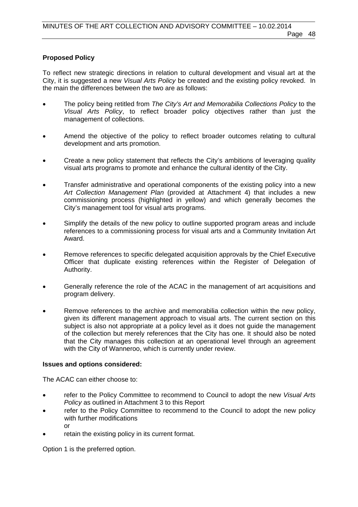#### **Proposed Policy**

To reflect new strategic directions in relation to cultural development and visual art at the City, it is suggested a new *Visual Arts Policy* be created and the existing policy revoked. In the main the differences between the two are as follows:

- The policy being retitled from *The City's Art and Memorabilia Collections Policy* to the *Visual Arts Policy*, to reflect broader policy objectives rather than just the management of collections.
- Amend the objective of the policy to reflect broader outcomes relating to cultural development and arts promotion.
- Create a new policy statement that reflects the City's ambitions of leveraging quality visual arts programs to promote and enhance the cultural identity of the City.
- Transfer administrative and operational components of the existing policy into a new *Art Collection Management Plan* (provided at Attachment 4) that includes a new commissioning process (highlighted in yellow) and which generally becomes the City's management tool for visual arts programs.
- Simplify the details of the new policy to outline supported program areas and include references to a commissioning process for visual arts and a Community Invitation Art Award.
- Remove references to specific delegated acquisition approvals by the Chief Executive Officer that duplicate existing references within the Register of Delegation of Authority.
- Generally reference the role of the ACAC in the management of art acquisitions and program delivery.
- Remove references to the archive and memorabilia collection within the new policy, given its different management approach to visual arts. The current section on this subject is also not appropriate at a policy level as it does not guide the management of the collection but merely references that the City has one. It should also be noted that the City manages this collection at an operational level through an agreement with the City of Wanneroo, which is currently under review.

#### **Issues and options considered:**

The ACAC can either choose to:

- refer to the Policy Committee to recommend to Council to adopt the new *Visual Arts Policy* as outlined in Attachment 3 to this Report
- refer to the Policy Committee to recommend to the Council to adopt the new policy with further modifications or
- retain the existing policy in its current format.

Option 1 is the preferred option.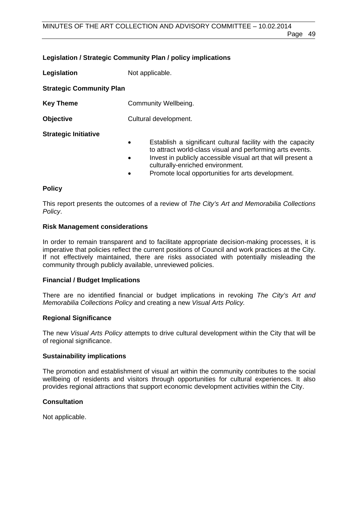#### **Legislation / Strategic Community Plan / policy implications**

**Legislation** Not applicable.

**Strategic Community Plan** 

- **Key Theme Community Wellbeing.**
- **Objective** Cultural development.

#### **Strategic Initiative**

- Establish a significant cultural facility with the capacity to attract world-class visual and performing arts events.
- Invest in publicly accessible visual art that will present a culturally-enriched environment.
- Promote local opportunities for arts development.

#### **Policy**

This report presents the outcomes of a review of *The City's Art and Memorabilia Collections Policy*.

#### **Risk Management considerations**

In order to remain transparent and to facilitate appropriate decision-making processes, it is imperative that policies reflect the current positions of Council and work practices at the City. If not effectively maintained, there are risks associated with potentially misleading the community through publicly available, unreviewed policies.

#### **Financial / Budget Implications**

There are no identified financial or budget implications in revoking *The City's Art and Memorabilia Collections Policy* and creating a new *Visual Arts Policy.*

#### **Regional Significance**

The new *Visual Arts Policy* attempts to drive cultural development within the City that will be of regional significance.

#### **Sustainability implications**

The promotion and establishment of visual art within the community contributes to the social wellbeing of residents and visitors through opportunities for cultural experiences. It also provides regional attractions that support economic development activities within the City.

#### **Consultation**

Not applicable.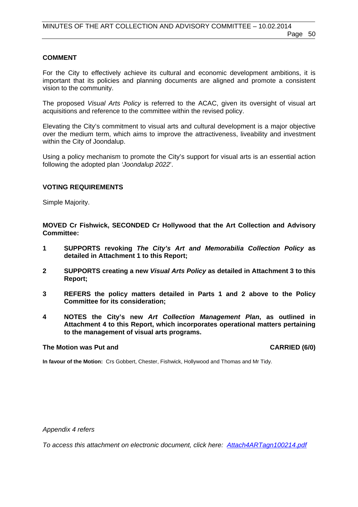#### **COMMENT**

For the City to effectively achieve its cultural and economic development ambitions, it is important that its policies and planning documents are aligned and promote a consistent vision to the community.

The proposed *Visual Arts Policy* is referred to the ACAC, given its oversight of visual art acquisitions and reference to the committee within the revised policy.

Elevating the City's commitment to visual arts and cultural development is a major objective over the medium term, which aims to improve the attractiveness, liveability and investment within the City of Joondalup.

Using a policy mechanism to promote the City's support for visual arts is an essential action following the adopted plan *'Joondalup 2022*'.

#### **VOTING REQUIREMENTS**

Simple Majority.

**MOVED Cr Fishwick, SECONDED Cr Hollywood that the Art Collection and Advisory Committee:** 

- **1 SUPPORTS revoking** *The City's Art and Memorabilia Collection Policy* **as detailed in Attachment 1 to this Report;**
- **2 SUPPORTS creating a new** *Visual Arts Policy* **as detailed in Attachment 3 to this Report;**
- **3 REFERS the policy matters detailed in Parts 1 and 2 above to the Policy Committee for its consideration;**
- **4 NOTES the City's new** *Art Collection Management Plan***, as outlined in Attachment 4 to this Report, which incorporates operational matters pertaining to the management of visual arts programs.**

#### The Motion was Put and **CARRIED** (6/0)

**In favour of the Motion:** Crs Gobbert, Chester, Fishwick, Hollywood and Thomas and Mr Tidy.

*Appendix 4 refers* 

*[To access this attachment on electronic document, click here: Attach4ARTagn100214.pdf](http://www.joondalup.wa.gov.au/files/committees/ACAC/2014/Attach4ARTagn100214.pdf)*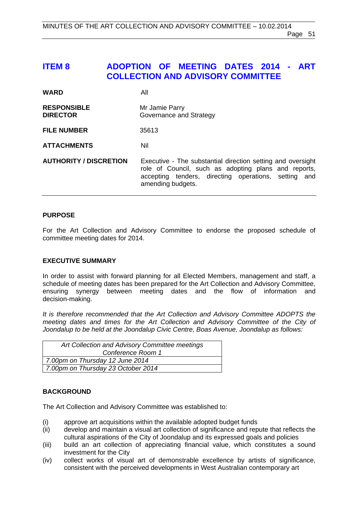# <span id="page-50-0"></span>**ITEM 8 ADOPTION OF MEETING DATES 2014 - ART COLLECTION AND ADVISORY COMMITTEE**

| <b>WARD</b>                           | All                                                                                                                                                                                              |
|---------------------------------------|--------------------------------------------------------------------------------------------------------------------------------------------------------------------------------------------------|
| <b>RESPONSIBLE</b><br><b>DIRECTOR</b> | Mr Jamie Parry<br>Governance and Strategy                                                                                                                                                        |
| <b>FILE NUMBER</b>                    | 35613                                                                                                                                                                                            |
| <b>ATTACHMENTS</b>                    | Nil                                                                                                                                                                                              |
| <b>AUTHORITY / DISCRETION</b>         | Executive - The substantial direction setting and oversight<br>role of Council, such as adopting plans and reports,<br>accepting tenders, directing operations, setting and<br>amending budgets. |

#### **PURPOSE**

For the Art Collection and Advisory Committee to endorse the proposed schedule of committee meeting dates for 2014.

#### **EXECUTIVE SUMMARY**

In order to assist with forward planning for all Elected Members, management and staff, a schedule of meeting dates has been prepared for the Art Collection and Advisory Committee, ensuring synergy between meeting dates and the flow of information and decision-making.

*It is therefore recommended that the Art Collection and Advisory Committee ADOPTS the meeting dates and times for the Art Collection and Advisory Committee of the City of Joondalup to be held at the Joondalup Civic Centre, Boas Avenue, Joondalup as follows:* 

| Art Collection and Advisory Committee meetings |  |
|------------------------------------------------|--|
| Conference Room 1                              |  |
| 7.00pm on Thursday 12 June 2014                |  |
| 7.00pm on Thursday 23 October 2014             |  |

#### **BACKGROUND**

The Art Collection and Advisory Committee was established to:

- (i) approve art acquisitions within the available adopted budget funds
- (ii) develop and maintain a visual art collection of significance and repute that reflects the cultural aspirations of the City of Joondalup and its expressed goals and policies
- (iii) build an art collection of appreciating financial value, which constitutes a sound investment for the City
- (iv) collect works of visual art of demonstrable excellence by artists of significance, consistent with the perceived developments in West Australian contemporary art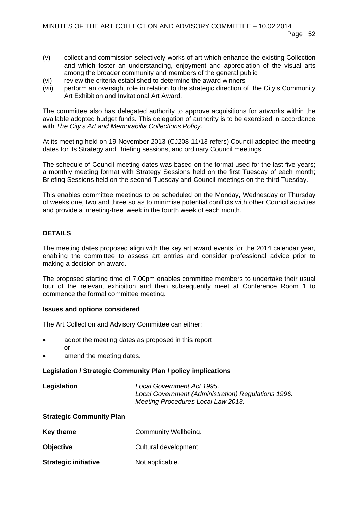- (v) collect and commission selectively works of art which enhance the existing Collection and which foster an understanding, enjoyment and appreciation of the visual arts among the broader community and members of the general public
- (vi) review the criteria established to determine the award winners
- (vii) perform an oversight role in relation to the strategic direction of the City's Community Art Exhibition and Invitational Art Award.

The committee also has delegated authority to approve acquisitions for artworks within the available adopted budget funds. This delegation of authority is to be exercised in accordance with *The City's Art and Memorabilia Collections Policy*.

At its meeting held on 19 November 2013 (CJ208-11/13 refers) Council adopted the meeting dates for its Strategy and Briefing sessions, and ordinary Council meetings.

The schedule of Council meeting dates was based on the format used for the last five years; a monthly meeting format with Strategy Sessions held on the first Tuesday of each month; Briefing Sessions held on the second Tuesday and Council meetings on the third Tuesday.

This enables committee meetings to be scheduled on the Monday, Wednesday or Thursday of weeks one, two and three so as to minimise potential conflicts with other Council activities and provide a 'meeting-free' week in the fourth week of each month.

#### **DETAILS**

The meeting dates proposed align with the key art award events for the 2014 calendar year, enabling the committee to assess art entries and consider professional advice prior to making a decision on award.

The proposed starting time of 7.00pm enables committee members to undertake their usual tour of the relevant exhibition and then subsequently meet at Conference Room 1 to commence the formal committee meeting.

#### **Issues and options considered**

The Art Collection and Advisory Committee can either:

- adopt the meeting dates as proposed in this report or
- amend the meeting dates.

#### **Legislation / Strategic Community Plan / policy implications**

**Legislation** *Local Government Act 1995. Local Government (Administration) Regulations 1996. Meeting Procedures Local Law 2013.* 

#### **Strategic Community Plan**

- **Key theme Community Wellbeing.**
- **Objective Cultural development.**
- **Strategic initiative Mot applicable.**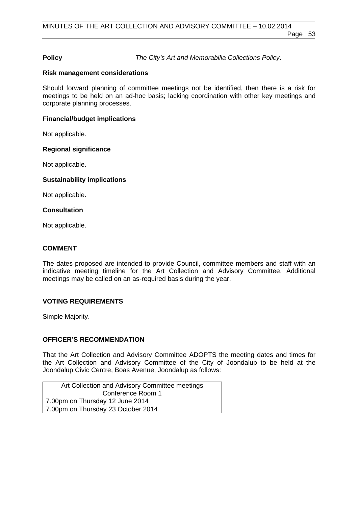#### **Policy** *The City's Art and Memorabilia Collections Policy*.

#### **Risk management considerations**

Should forward planning of committee meetings not be identified, then there is a risk for meetings to be held on an ad-hoc basis; lacking coordination with other key meetings and corporate planning processes.

#### **Financial/budget implications**

Not applicable.

#### **Regional significance**

Not applicable.

#### **Sustainability implications**

Not applicable.

#### **Consultation**

Not applicable.

#### **COMMENT**

The dates proposed are intended to provide Council, committee members and staff with an indicative meeting timeline for the Art Collection and Advisory Committee. Additional meetings may be called on an as-required basis during the year.

#### **VOTING REQUIREMENTS**

Simple Majority.

#### **OFFICER'S RECOMMENDATION**

That the Art Collection and Advisory Committee ADOPTS the meeting dates and times for the Art Collection and Advisory Committee of the City of Joondalup to be held at the Joondalup Civic Centre, Boas Avenue, Joondalup as follows:

| Art Collection and Advisory Committee meetings |  |
|------------------------------------------------|--|
| Conference Room 1                              |  |
| 7.00pm on Thursday 12 June 2014                |  |
| 7.00pm on Thursday 23 October 2014             |  |